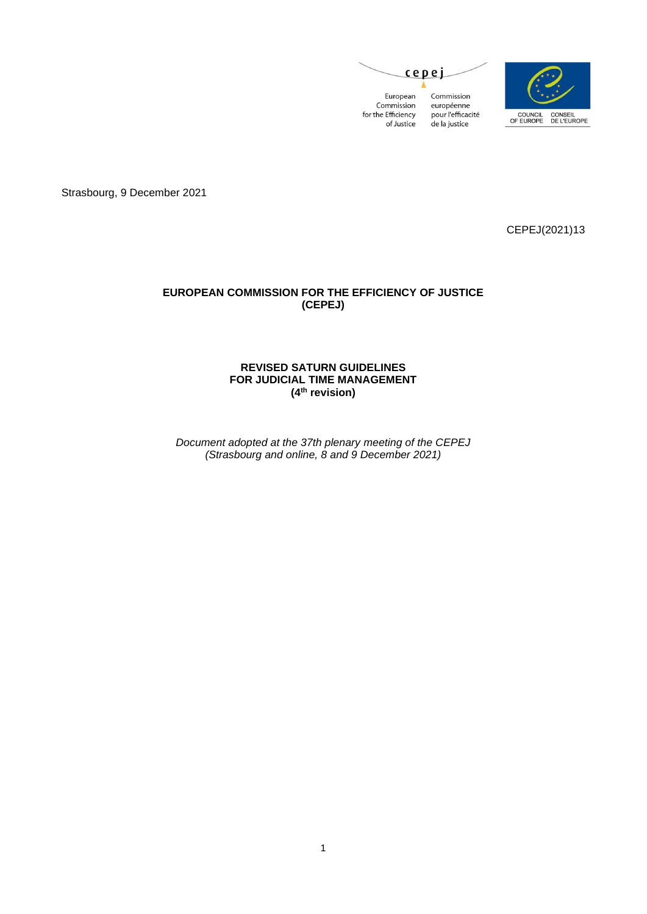



Strasbourg, 9 December 2021

CEPEJ(2021)13

## **EUROPEAN COMMISSION FOR THE EFFICIENCY OF JUSTICE (CEPEJ)**

### **REVISED SATURN GUIDELINES FOR JUDICIAL TIME MANAGEMENT (4 th revision)**

*Document adopted at the 37th plenary meeting of the CEPEJ (Strasbourg and online, 8 and 9 December 2021)*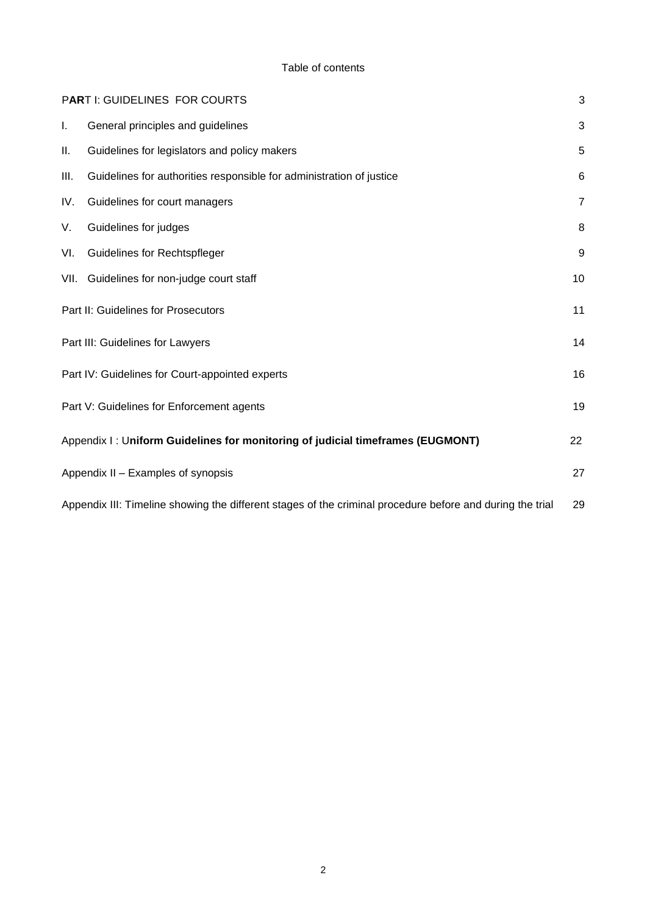#### Table of contents

|     | PART I: GUIDELINES FOR COURTS                                                                             | 3              |
|-----|-----------------------------------------------------------------------------------------------------------|----------------|
| I.  | General principles and guidelines                                                                         | 3              |
| Ш.  | Guidelines for legislators and policy makers                                                              | 5              |
| Ш.  | Guidelines for authorities responsible for administration of justice                                      | 6              |
| IV. | Guidelines for court managers                                                                             | $\overline{7}$ |
| V.  | Guidelines for judges                                                                                     | 8              |
| VI. | <b>Guidelines for Rechtspfleger</b>                                                                       | 9              |
|     | VII. Guidelines for non-judge court staff                                                                 | 10             |
|     | Part II: Guidelines for Prosecutors                                                                       | 11             |
|     | Part III: Guidelines for Lawyers                                                                          | 14             |
|     | Part IV: Guidelines for Court-appointed experts                                                           | 16             |
|     | Part V: Guidelines for Enforcement agents                                                                 | 19             |
|     | Appendix I: Uniform Guidelines for monitoring of judicial timeframes (EUGMONT)                            | 22             |
|     | Appendix II - Examples of synopsis                                                                        | 27             |
|     | Appendix III: Timeline showing the different stages of the criminal procedure before and during the trial | 29             |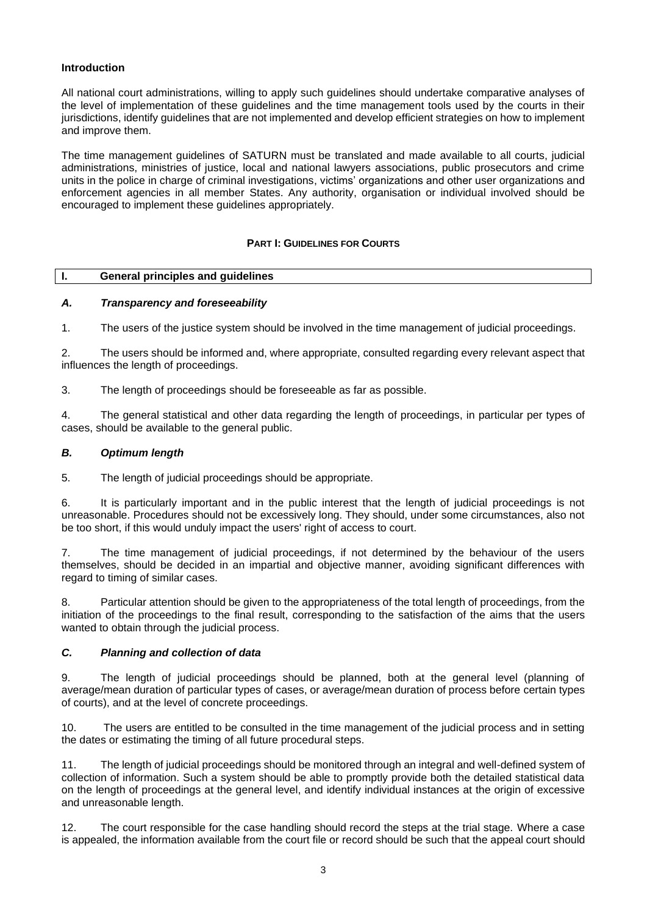## **Introduction**

All national court administrations, willing to apply such guidelines should undertake comparative analyses of the level of implementation of these guidelines and the time management tools used by the courts in their jurisdictions, identify guidelines that are not implemented and develop efficient strategies on how to implement and improve them.

The time management guidelines of SATURN must be translated and made available to all courts, judicial administrations, ministries of justice, local and national lawyers associations, public prosecutors and crime units in the police in charge of criminal investigations, victims' organizations and other user organizations and enforcement agencies in all member States. Any authority, organisation or individual involved should be encouraged to implement these guidelines appropriately.

## **PART I: GUIDELINES FOR COURTS**

#### <span id="page-2-1"></span><span id="page-2-0"></span>**I. General principles and guidelines**

## *A. Transparency and foreseeability*

1. The users of the justice system should be involved in the time management of judicial proceedings.

2. The users should be informed and, where appropriate, consulted regarding every relevant aspect that influences the length of proceedings.

3. The length of proceedings should be foreseeable as far as possible.

4. The general statistical and other data regarding the length of proceedings, in particular per types of cases, should be available to the general public.

#### *B. Optimum length*

5. The length of judicial proceedings should be appropriate.

6. It is particularly important and in the public interest that the length of judicial proceedings is not unreasonable. Procedures should not be excessively long. They should, under some circumstances, also not be too short, if this would unduly impact the users' right of access to court.

7. The time management of judicial proceedings, if not determined by the behaviour of the users themselves, should be decided in an impartial and objective manner, avoiding significant differences with regard to timing of similar cases.

8. Particular attention should be given to the appropriateness of the total length of proceedings, from the initiation of the proceedings to the final result, corresponding to the satisfaction of the aims that the users wanted to obtain through the judicial process.

#### *C. Planning and collection of data*

9. The length of judicial proceedings should be planned, both at the general level (planning of average/mean duration of particular types of cases, or average/mean duration of process before certain types of courts), and at the level of concrete proceedings.

10. The users are entitled to be consulted in the time management of the judicial process and in setting the dates or estimating the timing of all future procedural steps.

11. The length of judicial proceedings should be monitored through an integral and well-defined system of collection of information. Such a system should be able to promptly provide both the detailed statistical data on the length of proceedings at the general level, and identify individual instances at the origin of excessive and unreasonable length.

12. The court responsible for the case handling should record the steps at the trial stage. Where a case is appealed, the information available from the court file or record should be such that the appeal court should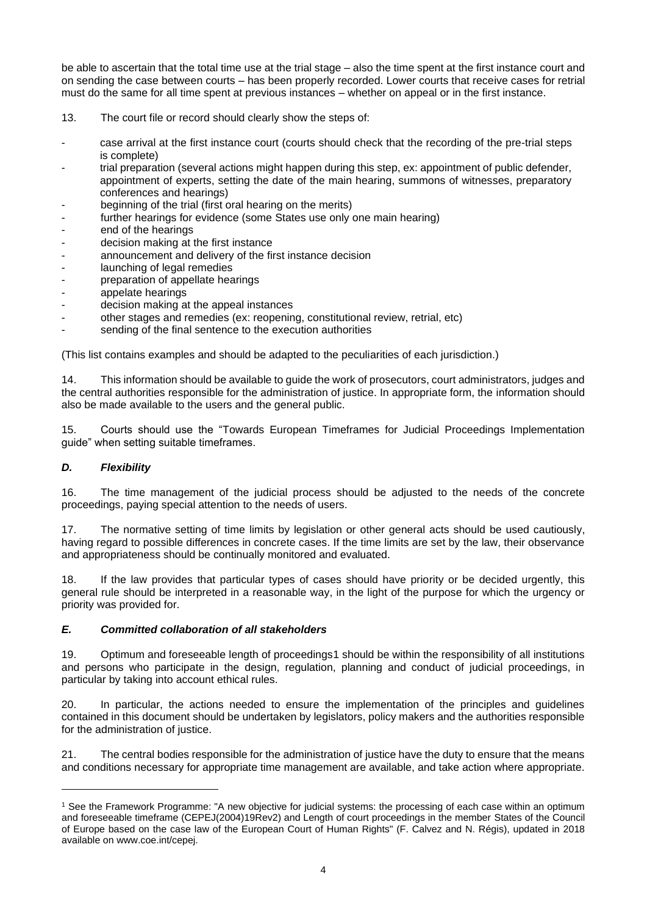be able to ascertain that the total time use at the trial stage – also the time spent at the first instance court and on sending the case between courts – has been properly recorded. Lower courts that receive cases for retrial must do the same for all time spent at previous instances – whether on appeal or in the first instance.

- 13. The court file or record should clearly show the steps of:
- case arrival at the first instance court (courts should check that the recording of the pre-trial steps is complete)
- trial preparation (several actions might happen during this step, ex: appointment of public defender, appointment of experts, setting the date of the main hearing, summons of witnesses, preparatory conferences and hearings)
- beginning of the trial (first oral hearing on the merits)
- further hearings for evidence (some States use only one main hearing)
- end of the hearings
- decision making at the first instance
- announcement and delivery of the first instance decision
- launching of legal remedies
- preparation of appellate hearings<br>- appelate hearings
- appelate hearings
- decision making at the appeal instances
- other stages and remedies (ex: reopening, constitutional review, retrial, etc)
- sending of the final sentence to the execution authorities

(This list contains examples and should be adapted to the peculiarities of each jurisdiction.)

14. This information should be available to guide the work of prosecutors, court administrators, judges and the central authorities responsible for the administration of justice. In appropriate form, the information should also be made available to the users and the general public.

15. Courts should use the "Towards European Timeframes for Judicial Proceedings Implementation guide" when setting suitable timeframes.

## *D. Flexibility*

16. The time management of the judicial process should be adjusted to the needs of the concrete proceedings, paying special attention to the needs of users.

17. The normative setting of time limits by legislation or other general acts should be used cautiously, having regard to possible differences in concrete cases. If the time limits are set by the law, their observance and appropriateness should be continually monitored and evaluated.

18. If the law provides that particular types of cases should have priority or be decided urgently, this general rule should be interpreted in a reasonable way, in the light of the purpose for which the urgency or priority was provided for.

## *E. Committed collaboration of all stakeholders*

19. Optimum and foreseeable length of proceedings1 should be within the responsibility of all institutions and persons who participate in the design, regulation, planning and conduct of judicial proceedings, in particular by taking into account ethical rules.

20. In particular, the actions needed to ensure the implementation of the principles and guidelines contained in this document should be undertaken by legislators, policy makers and the authorities responsible for the administration of justice.

21. The central bodies responsible for the administration of justice have the duty to ensure that the means and conditions necessary for appropriate time management are available, and take action where appropriate.

<sup>&</sup>lt;sup>1</sup> See the Framework Programme: "A new objective for judicial systems: the processing of each case within an optimum and foreseeable timeframe (CEPEJ(2004)19Rev2) and Length of court proceedings in the member States of the Council of Europe based on the case law of the European Court of Human Rights" (F. Calvez and N. Régis), updated in 2018 available on www.coe.int/cepej.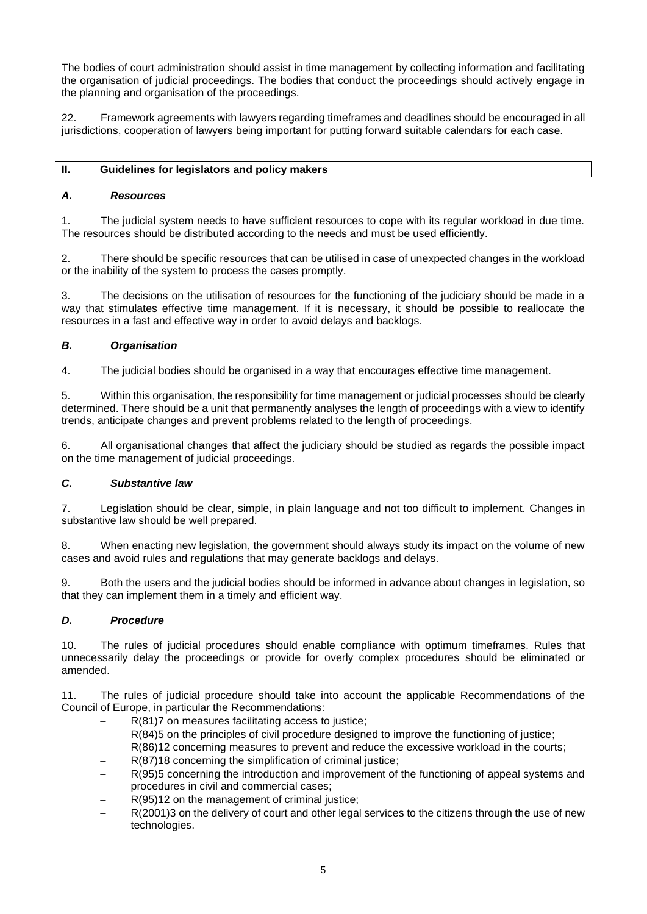The bodies of court administration should assist in time management by collecting information and facilitating the organisation of judicial proceedings. The bodies that conduct the proceedings should actively engage in the planning and organisation of the proceedings.

22. Framework agreements with lawyers regarding timeframes and deadlines should be encouraged in all jurisdictions, cooperation of lawyers being important for putting forward suitable calendars for each case.

## <span id="page-4-0"></span>**II. Guidelines for legislators and policy makers**

## *A. Resources*

1. The judicial system needs to have sufficient resources to cope with its regular workload in due time. The resources should be distributed according to the needs and must be used efficiently.

2. There should be specific resources that can be utilised in case of unexpected changes in the workload or the inability of the system to process the cases promptly.

3. The decisions on the utilisation of resources for the functioning of the judiciary should be made in a way that stimulates effective time management. If it is necessary, it should be possible to reallocate the resources in a fast and effective way in order to avoid delays and backlogs.

## *B. Organisation*

4. The judicial bodies should be organised in a way that encourages effective time management.

5. Within this organisation, the responsibility for time management or judicial processes should be clearly determined. There should be a unit that permanently analyses the length of proceedings with a view to identify trends, anticipate changes and prevent problems related to the length of proceedings.

6. All organisational changes that affect the judiciary should be studied as regards the possible impact on the time management of judicial proceedings.

## *C. Substantive law*

7. Legislation should be clear, simple, in plain language and not too difficult to implement. Changes in substantive law should be well prepared.

8. When enacting new legislation, the government should always study its impact on the volume of new cases and avoid rules and regulations that may generate backlogs and delays.

9. Both the users and the judicial bodies should be informed in advance about changes in legislation, so that they can implement them in a timely and efficient way.

## *D. Procedure*

10. The rules of judicial procedures should enable compliance with optimum timeframes. Rules that unnecessarily delay the proceedings or provide for overly complex procedures should be eliminated or amended.

11. The rules of judicial procedure should take into account the applicable Recommendations of the Council of Europe, in particular the Recommendations:

- R(81)7 on measures facilitating access to justice;
- − R(84)5 on the principles of civil procedure designed to improve the functioning of justice;
- − R(86)12 concerning measures to prevent and reduce the excessive workload in the courts;
- R(87)18 concerning the simplification of criminal justice;
- R(95)5 concerning the introduction and improvement of the functioning of appeal systems and procedures in civil and commercial cases;
- R(95)12 on the management of criminal justice;
- R(2001)3 on the delivery of court and other legal services to the citizens through the use of new technologies.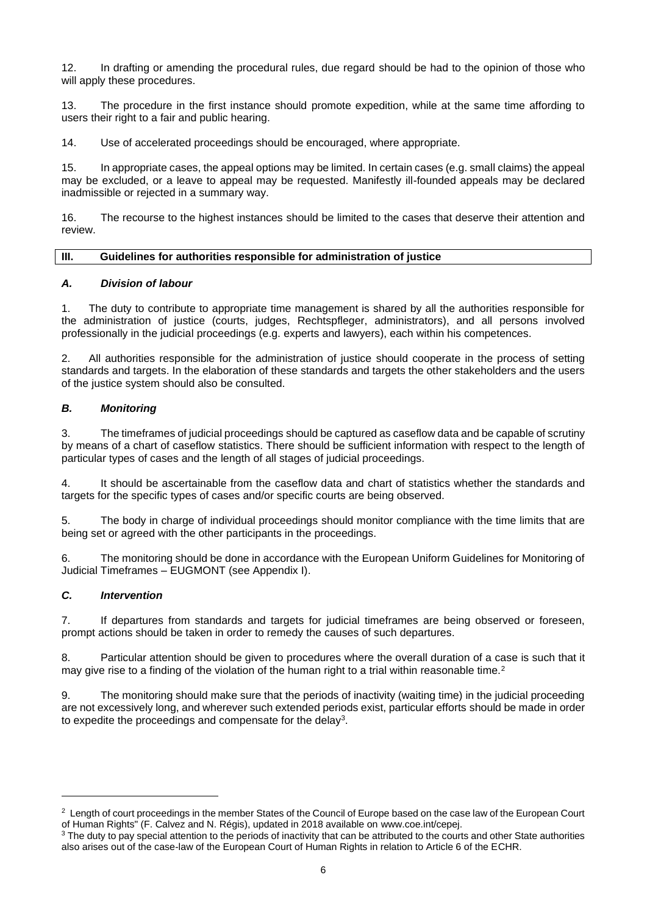12. In drafting or amending the procedural rules, due regard should be had to the opinion of those who will apply these procedures.

13. The procedure in the first instance should promote expedition, while at the same time affording to users their right to a fair and public hearing.

14. Use of accelerated proceedings should be encouraged, where appropriate.

15. In appropriate cases, the appeal options may be limited. In certain cases (e.g. small claims) the appeal may be excluded, or a leave to appeal may be requested. Manifestly ill-founded appeals may be declared inadmissible or rejected in a summary way.

16. The recourse to the highest instances should be limited to the cases that deserve their attention and review.

## <span id="page-5-0"></span>**III. Guidelines for authorities responsible for administration of justice**

## *A. Division of labour*

1. The duty to contribute to appropriate time management is shared by all the authorities responsible for the administration of justice (courts, judges, Rechtspfleger, administrators), and all persons involved professionally in the judicial proceedings (e.g. experts and lawyers), each within his competences.

2. All authorities responsible for the administration of justice should cooperate in the process of setting standards and targets. In the elaboration of these standards and targets the other stakeholders and the users of the justice system should also be consulted.

## *B. Monitoring*

3. The timeframes of judicial proceedings should be captured as caseflow data and be capable of scrutiny by means of a chart of caseflow statistics. There should be sufficient information with respect to the length of particular types of cases and the length of all stages of judicial proceedings.

4. It should be ascertainable from the caseflow data and chart of statistics whether the standards and targets for the specific types of cases and/or specific courts are being observed.

5. The body in charge of individual proceedings should monitor compliance with the time limits that are being set or agreed with the other participants in the proceedings.

6. The monitoring should be done in accordance with the European Uniform Guidelines for Monitoring of Judicial Timeframes – EUGMONT (see Appendix I).

## *C. Intervention*

7. If departures from standards and targets for judicial timeframes are being observed or foreseen, prompt actions should be taken in order to remedy the causes of such departures.

8. Particular attention should be given to procedures where the overall duration of a case is such that it may give rise to a finding of the violation of the human right to a trial within reasonable time.<sup>2</sup>

9. The monitoring should make sure that the periods of inactivity (waiting time) in the judicial proceeding are not excessively long, and wherever such extended periods exist, particular efforts should be made in order to expedite the proceedings and compensate for the delay<sup>3</sup>.

 $2$  Length of court proceedings in the member States of the Council of Europe based on the case law of the European Court of Human Rights" (F. Calvez and N. Régis), updated in 2018 available on www.coe.int/cepej.

<sup>&</sup>lt;sup>3</sup> The duty to pay special attention to the periods of inactivity that can be attributed to the courts and other State authorities also arises out of the case-law of the European Court of Human Rights in relation to Article 6 of the ECHR.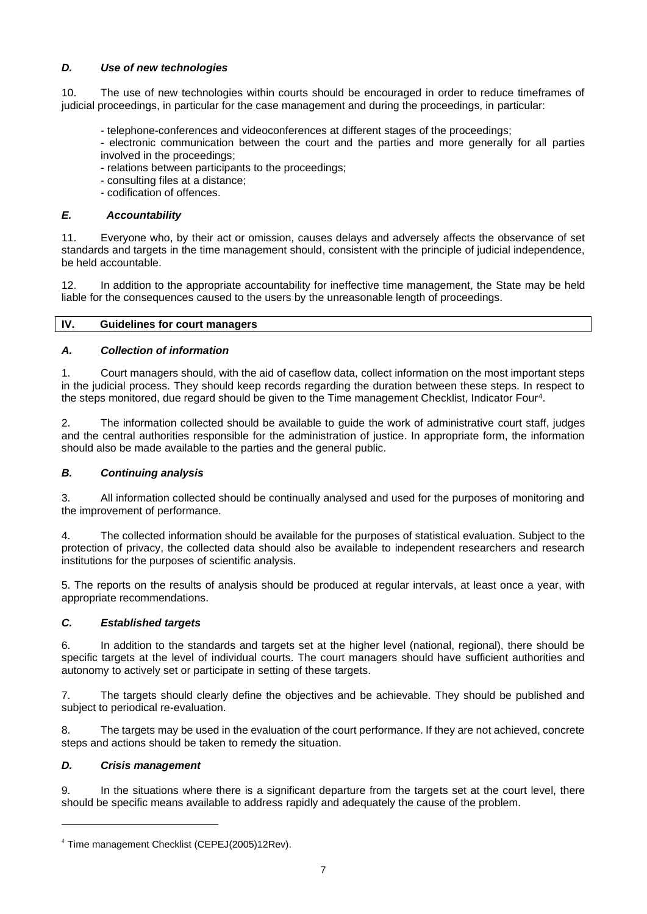## *D. Use of new technologies*

10. The use of new technologies within courts should be encouraged in order to reduce timeframes of judicial proceedings, in particular for the case management and during the proceedings, in particular:

- telephone-conferences and videoconferences at different stages of the proceedings;
- electronic communication between the court and the parties and more generally for all parties involved in the proceedings;
- relations between participants to the proceedings;
- consulting files at a distance;
- codification of offences.

#### *E. Accountability*

11. Everyone who, by their act or omission, causes delays and adversely affects the observance of set standards and targets in the time management should, consistent with the principle of judicial independence, be held accountable.

12. In addition to the appropriate accountability for ineffective time management, the State may be held liable for the consequences caused to the users by the unreasonable length of proceedings.

#### <span id="page-6-0"></span>**IV. Guidelines for court managers**

#### *A. Collection of information*

1. Court managers should, with the aid of caseflow data, collect information on the most important steps in the judicial process. They should keep records regarding the duration between these steps. In respect to the steps monitored, due regard should be given to the Time management Checklist, Indicator Four<sup>4</sup>.

2. The information collected should be available to guide the work of administrative court staff, judges and the central authorities responsible for the administration of justice. In appropriate form, the information should also be made available to the parties and the general public.

## *B. Continuing analysis*

3. All information collected should be continually analysed and used for the purposes of monitoring and the improvement of performance.

4. The collected information should be available for the purposes of statistical evaluation. Subject to the protection of privacy, the collected data should also be available to independent researchers and research institutions for the purposes of scientific analysis.

5. The reports on the results of analysis should be produced at regular intervals, at least once a year, with appropriate recommendations.

## *C. Established targets*

6. In addition to the standards and targets set at the higher level (national, regional), there should be specific targets at the level of individual courts. The court managers should have sufficient authorities and autonomy to actively set or participate in setting of these targets.

7. The targets should clearly define the objectives and be achievable. They should be published and subject to periodical re-evaluation.

8. The targets may be used in the evaluation of the court performance. If they are not achieved, concrete steps and actions should be taken to remedy the situation.

#### *D. Crisis management*

9. In the situations where there is a significant departure from the targets set at the court level, there should be specific means available to address rapidly and adequately the cause of the problem.

<sup>&</sup>lt;sup>4</sup> Time management Checklist (CEPEJ(2005)12Rev).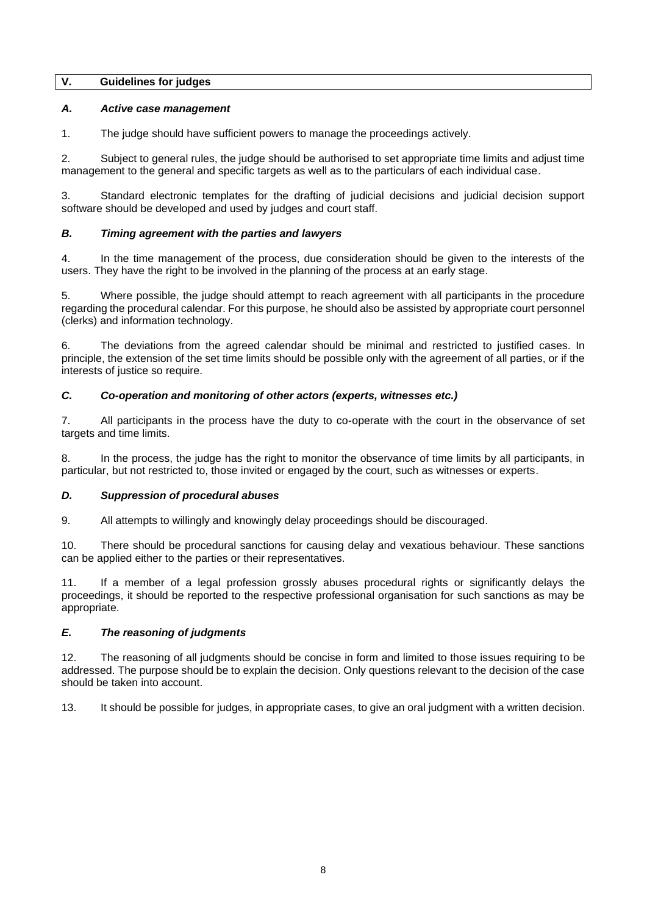#### <span id="page-7-0"></span>**V. Guidelines for judges**

## *A. Active case management*

1. The judge should have sufficient powers to manage the proceedings actively.

2. Subject to general rules, the judge should be authorised to set appropriate time limits and adjust time management to the general and specific targets as well as to the particulars of each individual case.

3. Standard electronic templates for the drafting of judicial decisions and judicial decision support software should be developed and used by judges and court staff.

## *B. Timing agreement with the parties and lawyers*

4. In the time management of the process, due consideration should be given to the interests of the users. They have the right to be involved in the planning of the process at an early stage.

5. Where possible, the judge should attempt to reach agreement with all participants in the procedure regarding the procedural calendar. For this purpose, he should also be assisted by appropriate court personnel (clerks) and information technology.

6. The deviations from the agreed calendar should be minimal and restricted to justified cases. In principle, the extension of the set time limits should be possible only with the agreement of all parties, or if the interests of justice so require.

## *C. Co-operation and monitoring of other actors (experts, witnesses etc.)*

7. All participants in the process have the duty to co-operate with the court in the observance of set targets and time limits.

8. In the process, the judge has the right to monitor the observance of time limits by all participants, in particular, but not restricted to, those invited or engaged by the court, such as witnesses or experts.

## *D. Suppression of procedural abuses*

9. All attempts to willingly and knowingly delay proceedings should be discouraged.

10. There should be procedural sanctions for causing delay and vexatious behaviour. These sanctions can be applied either to the parties or their representatives.

11. If a member of a legal profession grossly abuses procedural rights or significantly delays the proceedings, it should be reported to the respective professional organisation for such sanctions as may be appropriate.

#### *E. The reasoning of judgments*

12. The reasoning of all judgments should be concise in form and limited to those issues requiring to be addressed. The purpose should be to explain the decision. Only questions relevant to the decision of the case should be taken into account.

13. It should be possible for judges, in appropriate cases, to give an oral judgment with a written decision.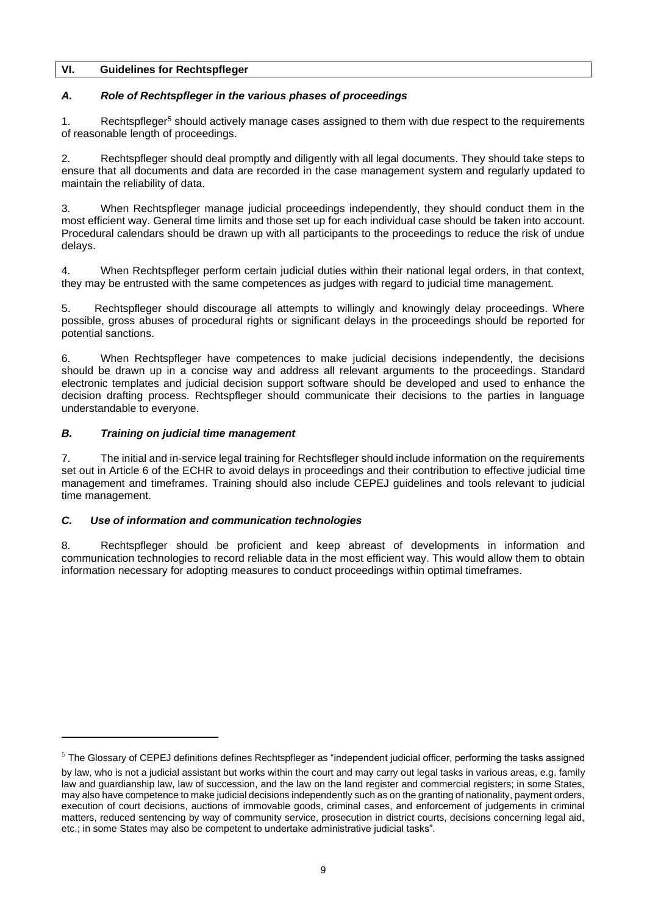## <span id="page-8-0"></span>**VI. Guidelines for Rechtspfleger**

## *A. Role of Rechtspfleger in the various phases of proceedings*

1. Rechtspfleger<sup>5</sup> should actively manage cases assigned to them with due respect to the requirements of reasonable length of proceedings.

2. Rechtspfleger should deal promptly and diligently with all legal documents. They should take steps to ensure that all documents and data are recorded in the case management system and regularly updated to maintain the reliability of data.

3. When Rechtspfleger manage judicial proceedings independently, they should conduct them in the most efficient way. General time limits and those set up for each individual case should be taken into account. Procedural calendars should be drawn up with all participants to the proceedings to reduce the risk of undue delays.

4. When Rechtspfleger perform certain judicial duties within their national legal orders, in that context, they may be entrusted with the same competences as judges with regard to judicial time management.

5. Rechtspfleger should discourage all attempts to willingly and knowingly delay proceedings. Where possible, gross abuses of procedural rights or significant delays in the proceedings should be reported for potential sanctions.

6. When Rechtspfleger have competences to make judicial decisions independently, the decisions should be drawn up in a concise way and address all relevant arguments to the proceedings. Standard electronic templates and judicial decision support software should be developed and used to enhance the decision drafting process. Rechtspfleger should communicate their decisions to the parties in language understandable to everyone.

## *B. Training on judicial time management*

7. The initial and in-service legal training for Rechtsfleger should include information on the requirements set out in Article 6 of the ECHR to avoid delays in proceedings and their contribution to effective judicial time management and timeframes. Training should also include CEPEJ guidelines and tools relevant to judicial time management.

## *C. Use of information and communication technologies*

8. Rechtspfleger should be proficient and keep abreast of developments in information and communication technologies to record reliable data in the most efficient way. This would allow them to obtain information necessary for adopting measures to conduct proceedings within optimal timeframes.

<sup>&</sup>lt;sup>5</sup> The Glossary of CEPEJ definitions defines Rechtspfleger as "independent judicial officer, performing the tasks assigned by law, who is not a judicial assistant but works within the court and may carry out legal tasks in various areas, e.g. family law and guardianship law, law of succession, and the law on the land register and commercial registers; in some States, may also have competence to make judicial decisions independently such as on the granting of nationality, payment orders, execution of court decisions, auctions of immovable goods, criminal cases, and enforcement of judgements in criminal matters, reduced sentencing by way of community service, prosecution in district courts, decisions concerning legal aid, etc.; in some States may also be competent to undertake administrative judicial tasks".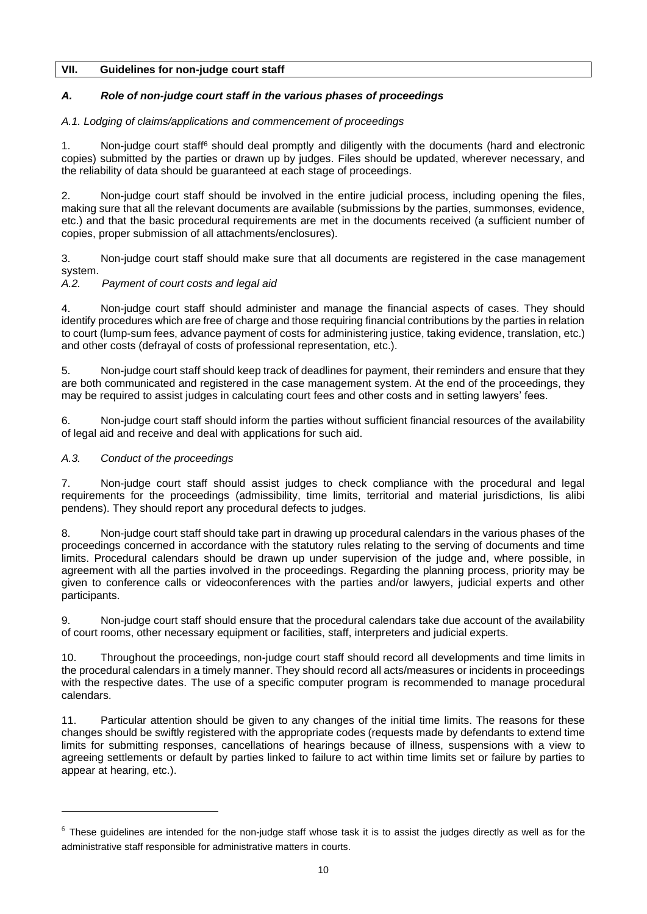## <span id="page-9-0"></span>**VII. Guidelines for non-judge court staff**

## *A. Role of non-judge court staff in the various phases of proceedings*

## *A.1. Lodging of claims/applications and commencement of proceedings*

1. Non-judge court staff<sup>6</sup> should deal promptly and diligently with the documents (hard and electronic copies) submitted by the parties or drawn up by judges. Files should be updated, wherever necessary, and the reliability of data should be guaranteed at each stage of proceedings.

2. Non-judge court staff should be involved in the entire judicial process, including opening the files, making sure that all the relevant documents are available (submissions by the parties, summonses, evidence, etc.) and that the basic procedural requirements are met in the documents received (a sufficient number of copies, proper submission of all attachments/enclosures).

3. Non-judge court staff should make sure that all documents are registered in the case management system.

## *A.2. Payment of court costs and legal aid*

4. Non-judge court staff should administer and manage the financial aspects of cases. They should identify procedures which are free of charge and those requiring financial contributions by the parties in relation to court (lump-sum fees, advance payment of costs for administering justice, taking evidence, translation, etc.) and other costs (defrayal of costs of professional representation, etc.).

5. Non-judge court staff should keep track of deadlines for payment, their reminders and ensure that they are both communicated and registered in the case management system. At the end of the proceedings, they may be required to assist judges in calculating court fees and other costs and in setting lawyers' fees.

6. Non-judge court staff should inform the parties without sufficient financial resources of the availability of legal aid and receive and deal with applications for such aid.

## *A.3. Conduct of the proceedings*

7. Non-judge court staff should assist judges to check compliance with the procedural and legal requirements for the proceedings (admissibility, time limits, territorial and material jurisdictions, lis alibi pendens). They should report any procedural defects to judges.

8. Non-judge court staff should take part in drawing up procedural calendars in the various phases of the proceedings concerned in accordance with the statutory rules relating to the serving of documents and time limits. Procedural calendars should be drawn up under supervision of the judge and, where possible, in agreement with all the parties involved in the proceedings. Regarding the planning process, priority may be given to conference calls or videoconferences with the parties and/or lawyers, judicial experts and other participants.

9. Non-judge court staff should ensure that the procedural calendars take due account of the availability of court rooms, other necessary equipment or facilities, staff, interpreters and judicial experts.

10. Throughout the proceedings, non-judge court staff should record all developments and time limits in the procedural calendars in a timely manner. They should record all acts/measures or incidents in proceedings with the respective dates. The use of a specific computer program is recommended to manage procedural calendars.

11. Particular attention should be given to any changes of the initial time limits. The reasons for these changes should be swiftly registered with the appropriate codes (requests made by defendants to extend time limits for submitting responses, cancellations of hearings because of illness, suspensions with a view to agreeing settlements or default by parties linked to failure to act within time limits set or failure by parties to appear at hearing, etc.).

 $6$  These guidelines are intended for the non-judge staff whose task it is to assist the judges directly as well as for the administrative staff responsible for administrative matters in courts.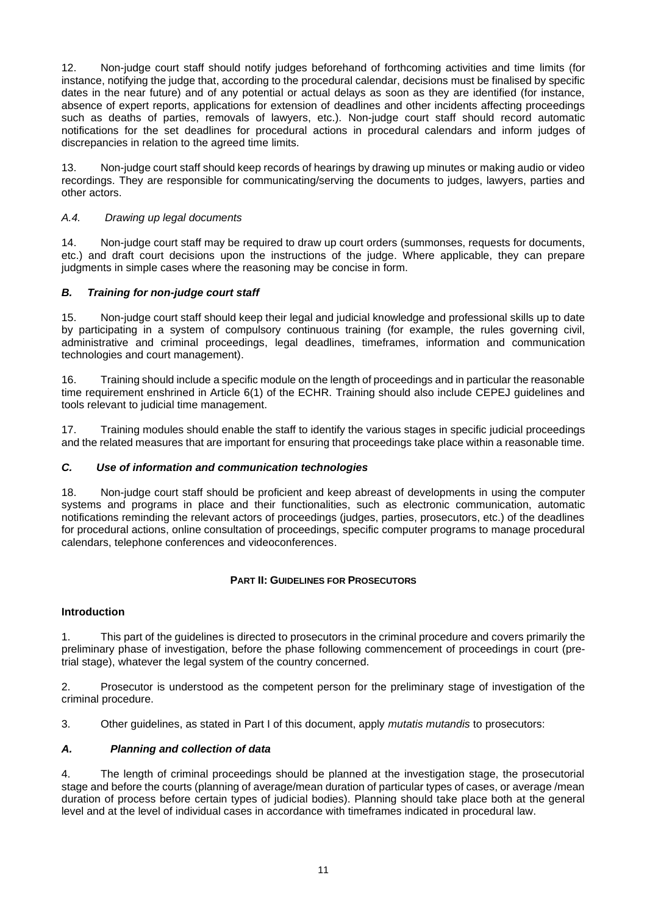12. Non-judge court staff should notify judges beforehand of forthcoming activities and time limits (for instance, notifying the judge that, according to the procedural calendar, decisions must be finalised by specific dates in the near future) and of any potential or actual delays as soon as they are identified (for instance, absence of expert reports, applications for extension of deadlines and other incidents affecting proceedings such as deaths of parties, removals of lawyers, etc.). Non-judge court staff should record automatic notifications for the set deadlines for procedural actions in procedural calendars and inform judges of discrepancies in relation to the agreed time limits.

13. Non-judge court staff should keep records of hearings by drawing up minutes or making audio or video recordings. They are responsible for communicating/serving the documents to judges, lawyers, parties and other actors.

## *A.4. Drawing up legal documents*

14. Non-judge court staff may be required to draw up court orders (summonses, requests for documents, etc.) and draft court decisions upon the instructions of the judge. Where applicable, they can prepare judgments in simple cases where the reasoning may be concise in form.

## *B. Training for non-judge court staff*

15. Non-judge court staff should keep their legal and judicial knowledge and professional skills up to date by participating in a system of compulsory continuous training (for example, the rules governing civil, administrative and criminal proceedings, legal deadlines, timeframes, information and communication technologies and court management).

16. Training should include a specific module on the length of proceedings and in particular the reasonable time requirement enshrined in Article 6(1) of the ECHR. Training should also include CEPEJ guidelines and tools relevant to judicial time management.

17. Training modules should enable the staff to identify the various stages in specific judicial proceedings and the related measures that are important for ensuring that proceedings take place within a reasonable time.

## *C. Use of information and communication technologies*

18. Non-judge court staff should be proficient and keep abreast of developments in using the computer systems and programs in place and their functionalities, such as electronic communication, automatic notifications reminding the relevant actors of proceedings (judges, parties, prosecutors, etc.) of the deadlines for procedural actions, online consultation of proceedings, specific computer programs to manage procedural calendars, telephone conferences and videoconferences.

## **PART II: GUIDELINES FOR PROSECUTORS**

## <span id="page-10-0"></span>**Introduction**

1. This part of the guidelines is directed to prosecutors in the criminal procedure and covers primarily the preliminary phase of investigation, before the phase following commencement of proceedings in court (pretrial stage), whatever the legal system of the country concerned.

2. Prosecutor is understood as the competent person for the preliminary stage of investigation of the criminal procedure.

3. Other guidelines, as stated in Part I of this document, apply *mutatis mutandis* to prosecutors:

## *A. Planning and collection of data*

4. The length of criminal proceedings should be planned at the investigation stage, the prosecutorial stage and before the courts (planning of average/mean duration of particular types of cases, or average /mean duration of process before certain types of judicial bodies). Planning should take place both at the general level and at the level of individual cases in accordance with timeframes indicated in procedural law.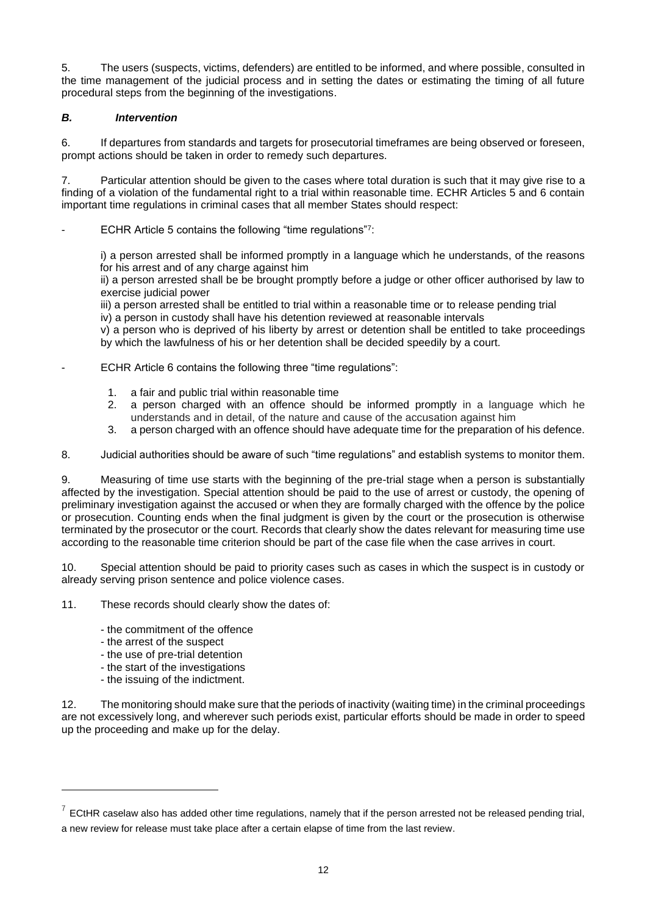5. The users (suspects, victims, defenders) are entitled to be informed, and where possible, consulted in the time management of the judicial process and in setting the dates or estimating the timing of all future procedural steps from the beginning of the investigations.

## *B. Intervention*

6. If departures from standards and targets for prosecutorial timeframes are being observed or foreseen, prompt actions should be taken in order to remedy such departures.

7. Particular attention should be given to the cases where total duration is such that it may give rise to a finding of a violation of the fundamental right to a trial within reasonable time. ECHR Articles 5 and 6 contain important time regulations in criminal cases that all member States should respect:

- ECHR Article 5 contains the following "time regulations"?:

i) a person arrested shall be informed promptly in a language which he understands, of the reasons for his arrest and of any charge against him

ii) a person arrested shall be be brought promptly before a judge or other officer authorised by law to exercise judicial power

iii) a person arrested shall be entitled to trial within a reasonable time or to release pending trial iv) a person in custody shall have his detention reviewed at reasonable intervals

v) a person who is deprived of his liberty by arrest or detention shall be entitled to take proceedings by which the lawfulness of his or her detention shall be decided speedily by a court.

- ECHR Article 6 contains the following three "time regulations":
	- 1. a fair and public trial within reasonable time
	- 2. a person charged with an offence should be informed promptly in a language which he understands and in detail, of the nature and cause of the accusation against him
	- 3. a person charged with an offence should have adequate time for the preparation of his defence.

8. Judicial authorities should be aware of such "time regulations" and establish systems to monitor them.

9. Measuring of time use starts with the beginning of the pre-trial stage when a person is substantially affected by the investigation. Special attention should be paid to the use of arrest or custody, the opening of preliminary investigation against the accused or when they are formally charged with the offence by the police or prosecution. Counting ends when the final judgment is given by the court or the prosecution is otherwise terminated by the prosecutor or the court. Records that clearly show the dates relevant for measuring time use according to the reasonable time criterion should be part of the case file when the case arrives in court.

10. Special attention should be paid to priority cases such as cases in which the suspect is in custody or already serving prison sentence and police violence cases.

11. These records should clearly show the dates of:

- the commitment of the offence
- the arrest of the suspect
- the use of pre-trial detention
- the start of the investigations
- the issuing of the indictment.

12. The monitoring should make sure that the periods of inactivity (waiting time) in the criminal proceedings are not excessively long, and wherever such periods exist, particular efforts should be made in order to speed up the proceeding and make up for the delay.

 $<sup>7</sup>$  ECtHR caselaw also has added other time regulations, namely that if the person arrested not be released pending trial,</sup> a new review for release must take place after a certain elapse of time from the last review.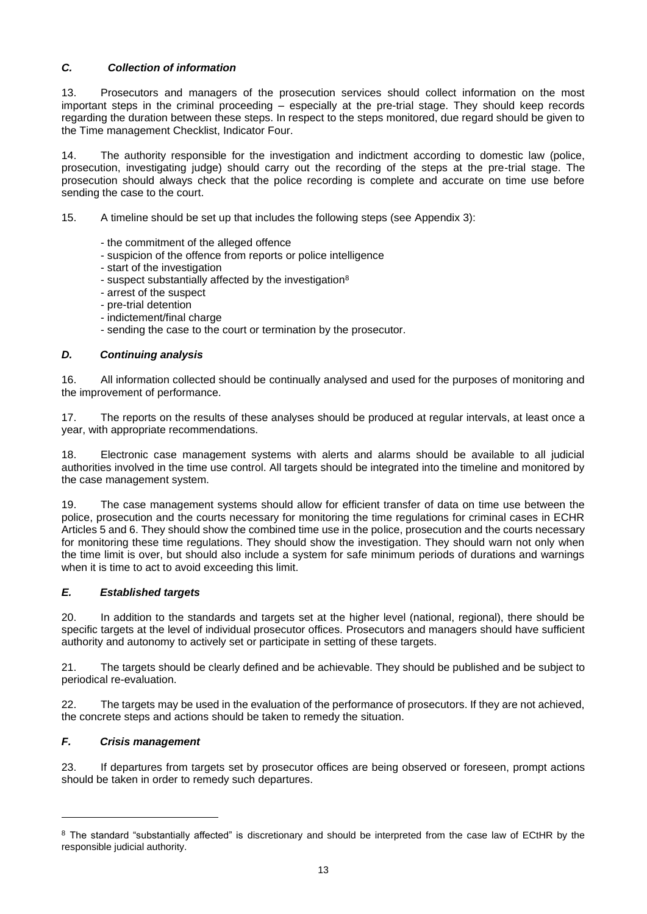## *C. Collection of information*

13. Prosecutors and managers of the prosecution services should collect information on the most important steps in the criminal proceeding – especially at the pre-trial stage. They should keep records regarding the duration between these steps. In respect to the steps monitored, due regard should be given to the Time management Checklist, Indicator Four.

14. The authority responsible for the investigation and indictment according to domestic law (police, prosecution, investigating judge) should carry out the recording of the steps at the pre-trial stage. The prosecution should always check that the police recording is complete and accurate on time use before sending the case to the court.

15. A timeline should be set up that includes the following steps (see Appendix 3):

- the commitment of the alleged offence
- suspicion of the offence from reports or police intelligence
- start of the investigation
- suspect substantially affected by the investigation<sup>8</sup>
- arrest of the suspect
- pre-trial detention
- indictement/final charge
- sending the case to the court or termination by the prosecutor.

## *D. Continuing analysis*

16. All information collected should be continually analysed and used for the purposes of monitoring and the improvement of performance.

17. The reports on the results of these analyses should be produced at regular intervals, at least once a year, with appropriate recommendations.

18. Electronic case management systems with alerts and alarms should be available to all judicial authorities involved in the time use control. All targets should be integrated into the timeline and monitored by the case management system.

19. The case management systems should allow for efficient transfer of data on time use between the police, prosecution and the courts necessary for monitoring the time regulations for criminal cases in ECHR Articles 5 and 6. They should show the combined time use in the police, prosecution and the courts necessary for monitoring these time regulations. They should show the investigation. They should warn not only when the time limit is over, but should also include a system for safe minimum periods of durations and warnings when it is time to act to avoid exceeding this limit.

## *E. Established targets*

20. In addition to the standards and targets set at the higher level (national, regional), there should be specific targets at the level of individual prosecutor offices. Prosecutors and managers should have sufficient authority and autonomy to actively set or participate in setting of these targets.

21. The targets should be clearly defined and be achievable. They should be published and be subject to periodical re-evaluation.

22. The targets may be used in the evaluation of the performance of prosecutors. If they are not achieved, the concrete steps and actions should be taken to remedy the situation.

## *F. Crisis management*

23. If departures from targets set by prosecutor offices are being observed or foreseen, prompt actions should be taken in order to remedy such departures.

<sup>&</sup>lt;sup>8</sup> The standard "substantially affected" is discretionary and should be interpreted from the case law of ECtHR by the responsible judicial authority.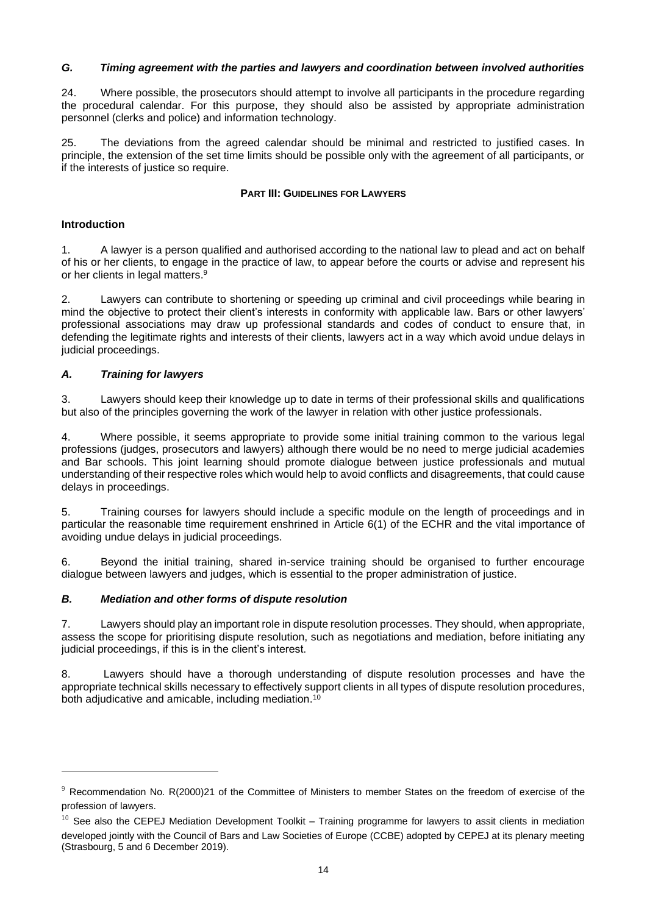## *G. Timing agreement with the parties and lawyers and coordination between involved authorities*

24. Where possible, the prosecutors should attempt to involve all participants in the procedure regarding the procedural calendar. For this purpose, they should also be assisted by appropriate administration personnel (clerks and police) and information technology.

<span id="page-13-0"></span>25. The deviations from the agreed calendar should be minimal and restricted to justified cases. In principle, the extension of the set time limits should be possible only with the agreement of all participants, or if the interests of justice so require.

#### **PART III: GUIDELINES FOR LAWYERS**

## **Introduction**

1. A lawyer is a person qualified and authorised according to the national law to plead and act on behalf of his or her clients, to engage in the practice of law, to appear before the courts or advise and represent his or her clients in legal matters. 9

2. Lawyers can contribute to shortening or speeding up criminal and civil proceedings while bearing in mind the objective to protect their client's interests in conformity with applicable law. Bars or other lawyers' professional associations may draw up professional standards and codes of conduct to ensure that, in defending the legitimate rights and interests of their clients, lawyers act in a way which avoid undue delays in judicial proceedings.

## *A. Training for lawyers*

3. Lawyers should keep their knowledge up to date in terms of their professional skills and qualifications but also of the principles governing the work of the lawyer in relation with other justice professionals.

4. Where possible, it seems appropriate to provide some initial training common to the various legal professions (judges, prosecutors and lawyers) although there would be no need to merge judicial academies and Bar schools. This joint learning should promote dialogue between justice professionals and mutual understanding of their respective roles which would help to avoid conflicts and disagreements, that could cause delays in proceedings.

5. Training courses for lawyers should include a specific module on the length of proceedings and in particular the reasonable time requirement enshrined in Article 6(1) of the ECHR and the vital importance of avoiding undue delays in judicial proceedings.

6. Beyond the initial training, shared in-service training should be organised to further encourage dialogue between lawyers and judges, which is essential to the proper administration of justice.

## *B. Mediation and other forms of dispute resolution*

7. Lawyers should play an important role in dispute resolution processes. They should, when appropriate, assess the scope for prioritising dispute resolution, such as negotiations and mediation, before initiating any judicial proceedings, if this is in the client's interest.

8. Lawyers should have a thorough understanding of dispute resolution processes and have the appropriate technical skills necessary to effectively support clients in all types of dispute resolution procedures, both adjudicative and amicable, including mediation.<sup>10</sup>

<sup>9</sup> Recommendation No. R(2000)21 of the Committee of Ministers to member States on the freedom of exercise of the profession of lawyers.

 $10$  See also the CEPEJ Mediation Development Toolkit – Training programme for lawyers to assit clients in mediation developed jointly with the Council of Bars and Law Societies of Europe (CCBE) adopted by CEPEJ at its plenary meeting (Strasbourg, 5 and 6 December 2019).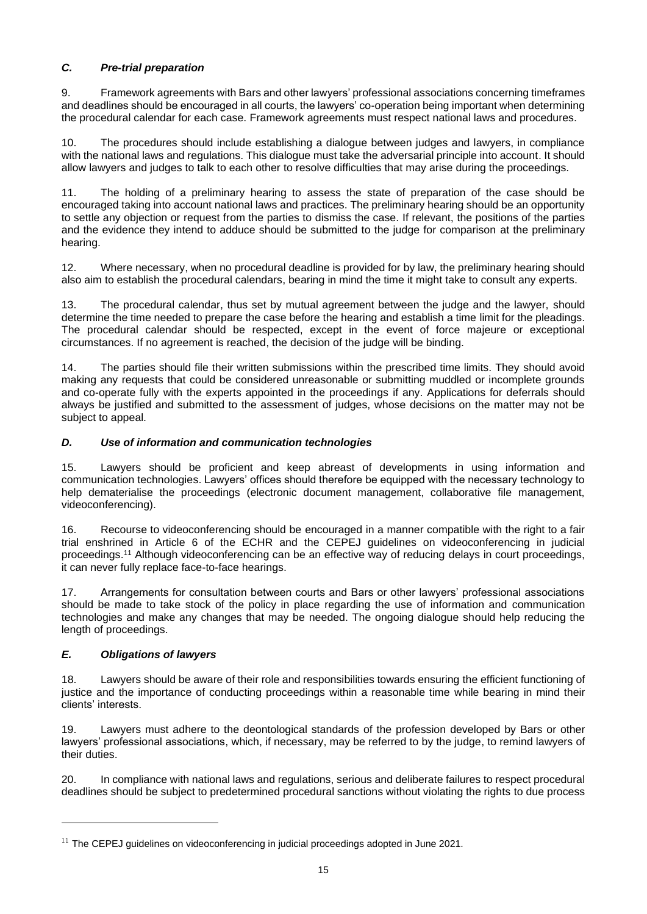## *C. Pre-trial preparation*

9. Framework agreements with Bars and other lawyers' professional associations concerning timeframes and deadlines should be encouraged in all courts, the lawyers' co-operation being important when determining the procedural calendar for each case. Framework agreements must respect national laws and procedures.

10. The procedures should include establishing a dialogue between judges and lawyers, in compliance with the national laws and regulations. This dialogue must take the adversarial principle into account. It should allow lawyers and judges to talk to each other to resolve difficulties that may arise during the proceedings.

11. The holding of a preliminary hearing to assess the state of preparation of the case should be encouraged taking into account national laws and practices. The preliminary hearing should be an opportunity to settle any objection or request from the parties to dismiss the case. If relevant, the positions of the parties and the evidence they intend to adduce should be submitted to the judge for comparison at the preliminary hearing.

12. Where necessary, when no procedural deadline is provided for by law, the preliminary hearing should also aim to establish the procedural calendars, bearing in mind the time it might take to consult any experts.

13. The procedural calendar, thus set by mutual agreement between the judge and the lawyer, should determine the time needed to prepare the case before the hearing and establish a time limit for the pleadings. The procedural calendar should be respected, except in the event of force majeure or exceptional circumstances. If no agreement is reached, the decision of the judge will be binding.

14. The parties should file their written submissions within the prescribed time limits. They should avoid making any requests that could be considered unreasonable or submitting muddled or incomplete grounds and co-operate fully with the experts appointed in the proceedings if any. Applications for deferrals should always be justified and submitted to the assessment of judges, whose decisions on the matter may not be subject to appeal.

## *D. Use of information and communication technologies*

15. Lawyers should be proficient and keep abreast of developments in using information and communication technologies. Lawyers' offices should therefore be equipped with the necessary technology to help dematerialise the proceedings (electronic document management, collaborative file management, videoconferencing).

16. Recourse to videoconferencing should be encouraged in a manner compatible with the right to a fair trial enshrined in Article 6 of the ECHR and the CEPEJ guidelines on videoconferencing in judicial proceedings. <sup>11</sup> Although videoconferencing can be an effective way of reducing delays in court proceedings, it can never fully replace face-to-face hearings.

17. Arrangements for consultation between courts and Bars or other lawyers' professional associations should be made to take stock of the policy in place regarding the use of information and communication technologies and make any changes that may be needed. The ongoing dialogue should help reducing the length of proceedings.

## *E. Obligations of lawyers*

18. Lawyers should be aware of their role and responsibilities towards ensuring the efficient functioning of justice and the importance of conducting proceedings within a reasonable time while bearing in mind their clients' interests.

19. Lawyers must adhere to the deontological standards of the profession developed by Bars or other lawyers' professional associations, which, if necessary, may be referred to by the judge, to remind lawyers of their duties.

20. In compliance with national laws and regulations, serious and deliberate failures to respect procedural deadlines should be subject to predetermined procedural sanctions without violating the rights to due process

 $11$  The CEPEJ guidelines on videoconferencing in judicial proceedings adopted in June 2021.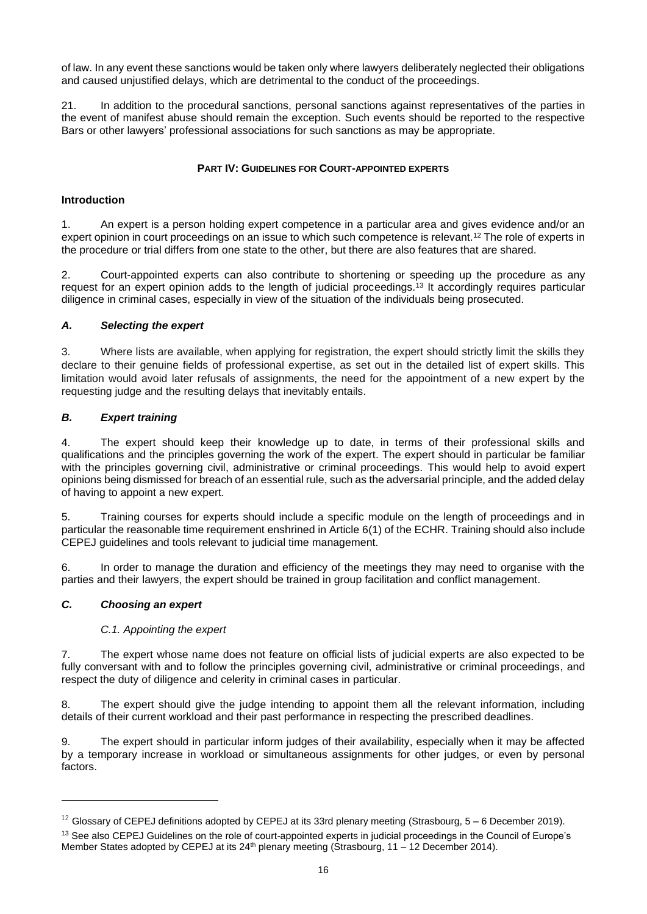of law. In any event these sanctions would be taken only where lawyers deliberately neglected their obligations and caused unjustified delays, which are detrimental to the conduct of the proceedings.

21. In addition to the procedural sanctions, personal sanctions against representatives of the parties in the event of manifest abuse should remain the exception. Such events should be reported to the respective Bars or other lawyers' professional associations for such sanctions as may be appropriate.

## **PART IV: GUIDELINES FOR COURT-APPOINTED EXPERTS**

#### <span id="page-15-0"></span>**Introduction**

1. An expert is a person holding expert competence in a particular area and gives evidence and/or an expert opinion in court proceedings on an issue to which such competence is relevant.<sup>12</sup> The role of experts in the procedure or trial differs from one state to the other, but there are also features that are shared.

2. Court-appointed experts can also contribute to shortening or speeding up the procedure as any request for an expert opinion adds to the length of judicial proceedings. <sup>13</sup> It accordingly requires particular diligence in criminal cases, especially in view of the situation of the individuals being prosecuted.

#### *A. Selecting the expert*

3. Where lists are available, when applying for registration, the expert should strictly limit the skills they declare to their genuine fields of professional expertise, as set out in the detailed list of expert skills. This limitation would avoid later refusals of assignments, the need for the appointment of a new expert by the requesting judge and the resulting delays that inevitably entails.

## *B. Expert training*

4. The expert should keep their knowledge up to date, in terms of their professional skills and qualifications and the principles governing the work of the expert. The expert should in particular be familiar with the principles governing civil, administrative or criminal proceedings. This would help to avoid expert opinions being dismissed for breach of an essential rule, such as the adversarial principle, and the added delay of having to appoint a new expert.

5. Training courses for experts should include a specific module on the length of proceedings and in particular the reasonable time requirement enshrined in Article 6(1) of the ECHR. Training should also include CEPEJ guidelines and tools relevant to judicial time management.

6. In order to manage the duration and efficiency of the meetings they may need to organise with the parties and their lawyers, the expert should be trained in group facilitation and conflict management.

## *C. Choosing an expert*

#### *C.1. Appointing the expert*

7. The expert whose name does not feature on official lists of judicial experts are also expected to be fully conversant with and to follow the principles governing civil, administrative or criminal proceedings, and respect the duty of diligence and celerity in criminal cases in particular.

8. The expert should give the judge intending to appoint them all the relevant information, including details of their current workload and their past performance in respecting the prescribed deadlines.

9. The expert should in particular inform judges of their availability, especially when it may be affected by a temporary increase in workload or simultaneous assignments for other judges, or even by personal factors.

<sup>&</sup>lt;sup>12</sup> Glossary of CEPEJ definitions adopted by CEPEJ at its 33rd plenary meeting (Strasbourg,  $5-6$  December 2019).

<sup>&</sup>lt;sup>13</sup> See also CEPEJ Guidelines on the role of court-appointed experts in judicial proceedings in the Council of Europe's Member States adopted by CEPEJ at its  $24<sup>th</sup>$  plenary meeting (Strasbourg, 11 – 12 December 2014).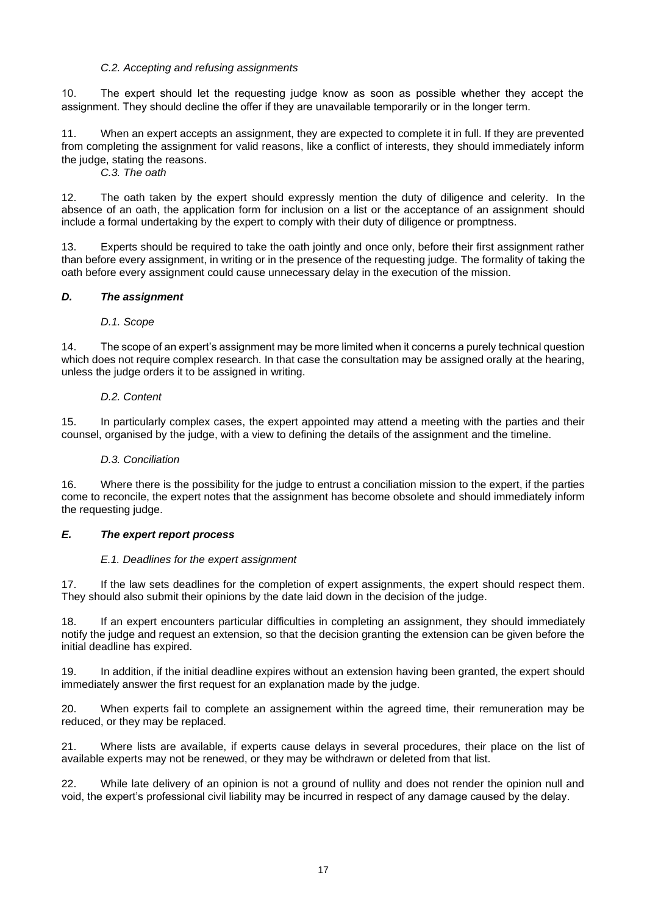#### *C.2. Accepting and refusing assignments*

10. The expert should let the requesting judge know as soon as possible whether they accept the assignment. They should decline the offer if they are unavailable temporarily or in the longer term.

11. When an expert accepts an assignment, they are expected to complete it in full. If they are prevented from completing the assignment for valid reasons, like a conflict of interests, they should immediately inform the judge, stating the reasons.

*C.3. The oath*

12. The oath taken by the expert should expressly mention the duty of diligence and celerity. In the absence of an oath, the application form for inclusion on a list or the acceptance of an assignment should include a formal undertaking by the expert to comply with their duty of diligence or promptness.

13. Experts should be required to take the oath jointly and once only, before their first assignment rather than before every assignment, in writing or in the presence of the requesting judge. The formality of taking the oath before every assignment could cause unnecessary delay in the execution of the mission.

#### *D. The assignment*

#### *D.1. Scope*

14. The scope of an expert's assignment may be more limited when it concerns a purely technical question which does not require complex research. In that case the consultation may be assigned orally at the hearing, unless the judge orders it to be assigned in writing.

#### *D.2. Content*

15. In particularly complex cases, the expert appointed may attend a meeting with the parties and their counsel, organised by the judge, with a view to defining the details of the assignment and the timeline.

#### *D.3. Conciliation*

16. Where there is the possibility for the judge to entrust a conciliation mission to the expert, if the parties come to reconcile, the expert notes that the assignment has become obsolete and should immediately inform the requesting judge.

#### *E. The expert report process*

#### *E.1. Deadlines for the expert assignment*

17. If the law sets deadlines for the completion of expert assignments, the expert should respect them. They should also submit their opinions by the date laid down in the decision of the judge.

18. If an expert encounters particular difficulties in completing an assignment, they should immediately notify the judge and request an extension, so that the decision granting the extension can be given before the initial deadline has expired.

19. In addition, if the initial deadline expires without an extension having been granted, the expert should immediately answer the first request for an explanation made by the judge.

20. When experts fail to complete an assignement within the agreed time, their remuneration may be reduced, or they may be replaced.

21. Where lists are available, if experts cause delays in several procedures, their place on the list of available experts may not be renewed, or they may be withdrawn or deleted from that list.

22. While late delivery of an opinion is not a ground of nullity and does not render the opinion null and void, the expert's professional civil liability may be incurred in respect of any damage caused by the delay.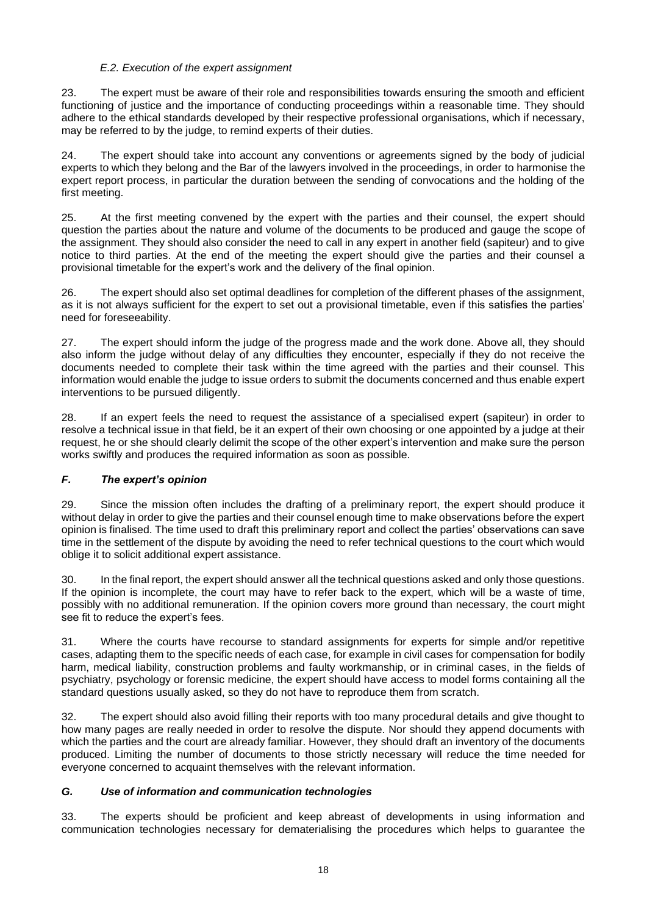## *E.2. Execution of the expert assignment*

23. The expert must be aware of their role and responsibilities towards ensuring the smooth and efficient functioning of justice and the importance of conducting proceedings within a reasonable time. They should adhere to the ethical standards developed by their respective professional organisations, which if necessary, may be referred to by the judge, to remind experts of their duties.

24. The expert should take into account any conventions or agreements signed by the body of judicial experts to which they belong and the Bar of the lawyers involved in the proceedings, in order to harmonise the expert report process, in particular the duration between the sending of convocations and the holding of the first meeting.

25. At the first meeting convened by the expert with the parties and their counsel, the expert should question the parties about the nature and volume of the documents to be produced and gauge the scope of the assignment. They should also consider the need to call in any expert in another field (sapiteur) and to give notice to third parties. At the end of the meeting the expert should give the parties and their counsel a provisional timetable for the expert's work and the delivery of the final opinion.

26. The expert should also set optimal deadlines for completion of the different phases of the assignment, as it is not always sufficient for the expert to set out a provisional timetable, even if this satisfies the parties' need for foreseeability.

27. The expert should inform the judge of the progress made and the work done. Above all, they should also inform the judge without delay of any difficulties they encounter, especially if they do not receive the documents needed to complete their task within the time agreed with the parties and their counsel. This information would enable the judge to issue orders to submit the documents concerned and thus enable expert interventions to be pursued diligently.

28. If an expert feels the need to request the assistance of a specialised expert (sapiteur) in order to resolve a technical issue in that field, be it an expert of their own choosing or one appointed by a judge at their request, he or she should clearly delimit the scope of the other expert's intervention and make sure the person works swiftly and produces the required information as soon as possible.

## *F. The expert's opinion*

29. Since the mission often includes the drafting of a preliminary report, the expert should produce it without delay in order to give the parties and their counsel enough time to make observations before the expert opinion is finalised. The time used to draft this preliminary report and collect the parties' observations can save time in the settlement of the dispute by avoiding the need to refer technical questions to the court which would oblige it to solicit additional expert assistance.

30. In the final report, the expert should answer all the technical questions asked and only those questions. If the opinion is incomplete, the court may have to refer back to the expert, which will be a waste of time, possibly with no additional remuneration. If the opinion covers more ground than necessary, the court might see fit to reduce the expert's fees.

31. Where the courts have recourse to standard assignments for experts for simple and/or repetitive cases, adapting them to the specific needs of each case, for example in civil cases for compensation for bodily harm, medical liability, construction problems and faulty workmanship, or in criminal cases, in the fields of psychiatry, psychology or forensic medicine, the expert should have access to model forms containing all the standard questions usually asked, so they do not have to reproduce them from scratch.

32. The expert should also avoid filling their reports with too many procedural details and give thought to how many pages are really needed in order to resolve the dispute. Nor should they append documents with which the parties and the court are already familiar. However, they should draft an inventory of the documents produced. Limiting the number of documents to those strictly necessary will reduce the time needed for everyone concerned to acquaint themselves with the relevant information.

## *G. Use of information and communication technologies*

33. The experts should be proficient and keep abreast of developments in using information and communication technologies necessary for dematerialising the procedures which helps to guarantee the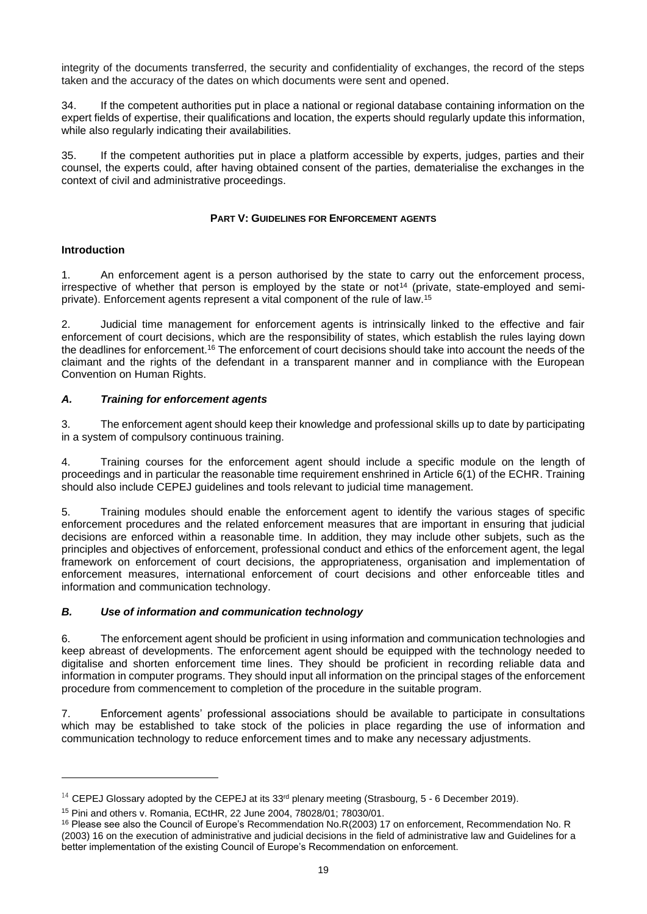integrity of the documents transferred, the security and confidentiality of exchanges, the record of the steps taken and the accuracy of the dates on which documents were sent and opened.

34. If the competent authorities put in place a national or regional database containing information on the expert fields of expertise, their qualifications and location, the experts should regularly update this information, while also regularly indicating their availabilities.

35. If the competent authorities put in place a platform accessible by experts, judges, parties and their counsel, the experts could, after having obtained consent of the parties, dematerialise the exchanges in the context of civil and administrative proceedings.

## **PART V: GUIDELINES FOR ENFORCEMENT AGENTS**

## <span id="page-18-0"></span>**Introduction**

1. An enforcement agent is a person authorised by the state to carry out the enforcement process, irrespective of whether that person is employed by the state or not $14$  (private, state-employed and semiprivate). Enforcement agents represent a vital component of the rule of law. 15

2. Judicial time management for enforcement agents is intrinsically linked to the effective and fair enforcement of court decisions, which are the responsibility of states, which establish the rules laying down the deadlines for enforcement.<sup>16</sup> The enforcement of court decisions should take into account the needs of the claimant and the rights of the defendant in a transparent manner and in compliance with the European Convention on Human Rights.

## *A. Training for enforcement agents*

3. The enforcement agent should keep their knowledge and professional skills up to date by participating in a system of compulsory continuous training.

4. Training courses for the enforcement agent should include a specific module on the length of proceedings and in particular the reasonable time requirement enshrined in Article 6(1) of the ECHR. Training should also include CEPEJ guidelines and tools relevant to judicial time management.

5. Training modules should enable the enforcement agent to identify the various stages of specific enforcement procedures and the related enforcement measures that are important in ensuring that judicial decisions are enforced within a reasonable time. In addition, they may include other subjets, such as the principles and objectives of enforcement, professional conduct and ethics of the enforcement agent, the legal framework on enforcement of court decisions, the appropriateness, organisation and implementation of enforcement measures, international enforcement of court decisions and other enforceable titles and information and communication technology.

## *B. Use of information and communication technology*

6. The enforcement agent should be proficient in using information and communication technologies and keep abreast of developments. The enforcement agent should be equipped with the technology needed to digitalise and shorten enforcement time lines. They should be proficient in recording reliable data and information in computer programs. They should input all information on the principal stages of the enforcement procedure from commencement to completion of the procedure in the suitable program.

7. Enforcement agents' professional associations should be available to participate in consultations which may be established to take stock of the policies in place regarding the use of information and communication technology to reduce enforcement times and to make any necessary adjustments.

 $14$  CEPEJ Glossary adopted by the CEPEJ at its 33<sup>rd</sup> plenary meeting (Strasbourg, 5 - 6 December 2019).

<sup>15</sup> Pini and others v. Romania, ECtHR, 22 June 2004, 78028/01; 78030/01.

<sup>16</sup> Please see also the Council of Europe's Recommendation No.R(2003) 17 on enforcement, Recommendation No. R (2003) 16 on the execution of administrative and judicial decisions in the field of administrative law and Guidelines for a better implementation of the existing Council of Europe's Recommendation on enforcement.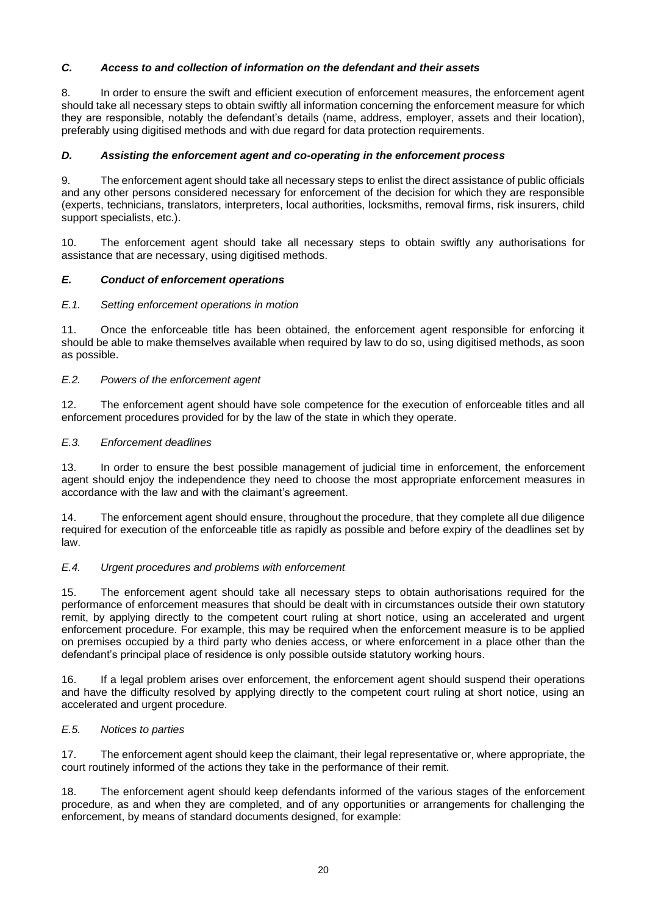## *C. Access to and collection of information on the defendant and their assets*

8. In order to ensure the swift and efficient execution of enforcement measures, the enforcement agent should take all necessary steps to obtain swiftly all information concerning the enforcement measure for which they are responsible, notably the defendant's details (name, address, employer, assets and their location), preferably using digitised methods and with due regard for data protection requirements.

#### *D. Assisting the enforcement agent and co-operating in the enforcement process*

9. The enforcement agent should take all necessary steps to enlist the direct assistance of public officials and any other persons considered necessary for enforcement of the decision for which they are responsible (experts, technicians, translators, interpreters, local authorities, locksmiths, removal firms, risk insurers, child support specialists, etc.).

10. The enforcement agent should take all necessary steps to obtain swiftly any authorisations for assistance that are necessary, using digitised methods.

## *E. Conduct of enforcement operations*

#### *E.1. Setting enforcement operations in motion*

11. Once the enforceable title has been obtained, the enforcement agent responsible for enforcing it should be able to make themselves available when required by law to do so, using digitised methods, as soon as possible.

#### *E.2. Powers of the enforcement agent*

12. The enforcement agent should have sole competence for the execution of enforceable titles and all enforcement procedures provided for by the law of the state in which they operate.

#### *E.3. Enforcement deadlines*

13. In order to ensure the best possible management of judicial time in enforcement, the enforcement agent should enjoy the independence they need to choose the most appropriate enforcement measures in accordance with the law and with the claimant's agreement.

14. The enforcement agent should ensure, throughout the procedure, that they complete all due diligence required for execution of the enforceable title as rapidly as possible and before expiry of the deadlines set by law.

#### *E.4. Urgent procedures and problems with enforcement*

15. The enforcement agent should take all necessary steps to obtain authorisations required for the performance of enforcement measures that should be dealt with in circumstances outside their own statutory remit, by applying directly to the competent court ruling at short notice, using an accelerated and urgent enforcement procedure. For example, this may be required when the enforcement measure is to be applied on premises occupied by a third party who denies access, or where enforcement in a place other than the defendant's principal place of residence is only possible outside statutory working hours.

16. If a legal problem arises over enforcement, the enforcement agent should suspend their operations and have the difficulty resolved by applying directly to the competent court ruling at short notice, using an accelerated and urgent procedure.

#### *E.5. Notices to parties*

17. The enforcement agent should keep the claimant, their legal representative or, where appropriate, the court routinely informed of the actions they take in the performance of their remit.

18. The enforcement agent should keep defendants informed of the various stages of the enforcement procedure, as and when they are completed, and of any opportunities or arrangements for challenging the enforcement, by means of standard documents designed, for example: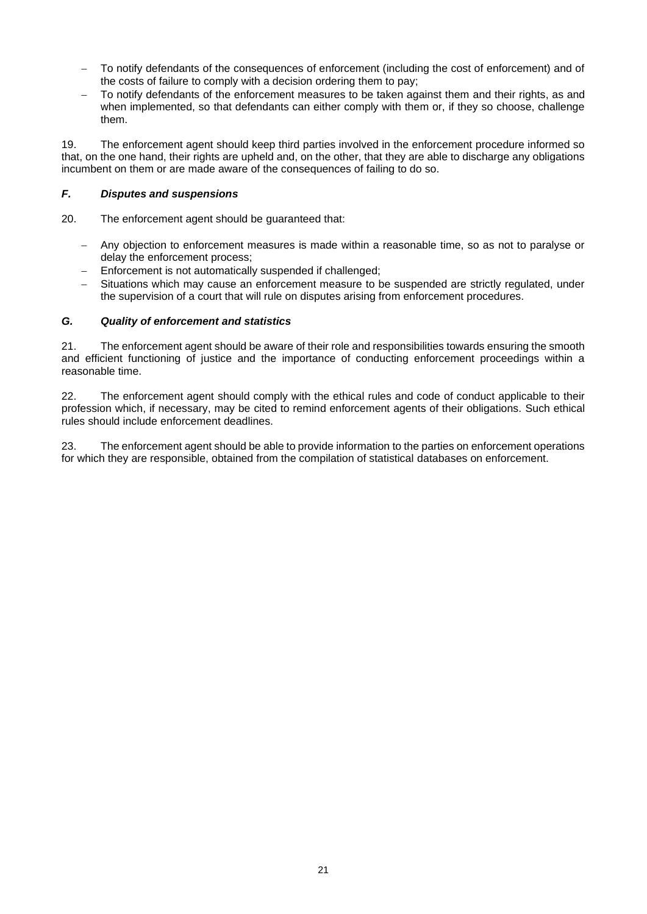- − To notify defendants of the consequences of enforcement (including the cost of enforcement) and of the costs of failure to comply with a decision ordering them to pay;
- To notify defendants of the enforcement measures to be taken against them and their rights, as and when implemented, so that defendants can either comply with them or, if they so choose, challenge them.

19. The enforcement agent should keep third parties involved in the enforcement procedure informed so that, on the one hand, their rights are upheld and, on the other, that they are able to discharge any obligations incumbent on them or are made aware of the consequences of failing to do so.

## *F. Disputes and suspensions*

- 20. The enforcement agent should be guaranteed that:
	- − Any objection to enforcement measures is made within a reasonable time, so as not to paralyse or delay the enforcement process;
	- − Enforcement is not automatically suspended if challenged;
	- Situations which may cause an enforcement measure to be suspended are strictly regulated, under the supervision of a court that will rule on disputes arising from enforcement procedures.

## *G. Quality of enforcement and statistics*

21. The enforcement agent should be aware of their role and responsibilities towards ensuring the smooth and efficient functioning of justice and the importance of conducting enforcement proceedings within a reasonable time.

22. The enforcement agent should comply with the ethical rules and code of conduct applicable to their profession which, if necessary, may be cited to remind enforcement agents of their obligations. Such ethical rules should include enforcement deadlines.

23. The enforcement agent should be able to provide information to the parties on enforcement operations for which they are responsible, obtained from the compilation of statistical databases on enforcement.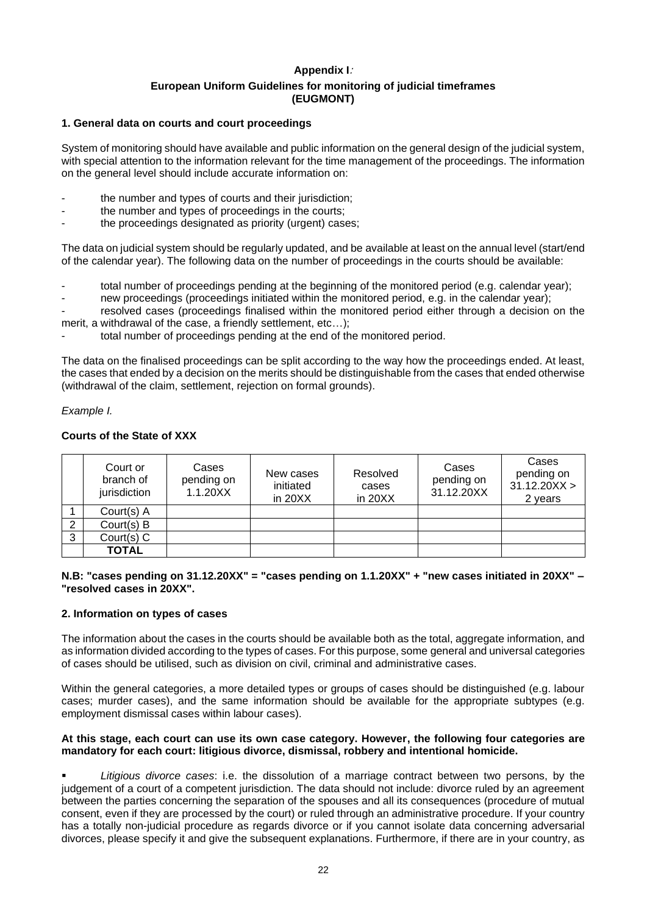## **Appendix I**: **European Uniform Guidelines for monitoring of judicial timeframes (EUGMONT)**

#### <span id="page-21-0"></span>**1. General data on courts and court proceedings**

System of monitoring should have available and public information on the general design of the judicial system, with special attention to the information relevant for the time management of the proceedings. The information on the general level should include accurate information on:

- the number and types of courts and their jurisdiction:
- the number and types of proceedings in the courts;
- the proceedings designated as priority (urgent) cases;

The data on judicial system should be regularly updated, and be available at least on the annual level (start/end of the calendar year). The following data on the number of proceedings in the courts should be available:

total number of proceedings pending at the beginning of the monitored period (e.g. calendar year);

- new proceedings (proceedings initiated within the monitored period, e.g. in the calendar year);

resolved cases (proceedings finalised within the monitored period either through a decision on the merit, a withdrawal of the case, a friendly settlement, etc…);

total number of proceedings pending at the end of the monitored period.

The data on the finalised proceedings can be split according to the way how the proceedings ended. At least, the cases that ended by a decision on the merits should be distinguishable from the cases that ended otherwise (withdrawal of the claim, settlement, rejection on formal grounds).

#### *Example I.*

## **Courts of the State of XXX**

|   | Court or<br>branch of<br>jurisdiction | Cases<br>pending on<br>1.1.20XX | New cases<br>initiated<br>in $20XX$ | Resolved<br>cases<br>in $20XX$ | Cases<br>pending on<br>31.12.20XX | Cases<br>pending on<br>31.12.20XX ><br>2 years |
|---|---------------------------------------|---------------------------------|-------------------------------------|--------------------------------|-----------------------------------|------------------------------------------------|
|   | Court(s) A                            |                                 |                                     |                                |                                   |                                                |
| 2 | Court(s) B                            |                                 |                                     |                                |                                   |                                                |
| 3 | $Court(s)$ C                          |                                 |                                     |                                |                                   |                                                |
|   | <b>TOTAL</b>                          |                                 |                                     |                                |                                   |                                                |

#### **N.B: "cases pending on 31.12.20XX" = "cases pending on 1.1.20XX" + "new cases initiated in 20XX" – "resolved cases in 20XX".**

#### **2. Information on types of cases**

The information about the cases in the courts should be available both as the total, aggregate information, and as information divided according to the types of cases. For this purpose, some general and universal categories of cases should be utilised, such as division on civil, criminal and administrative cases.

Within the general categories, a more detailed types or groups of cases should be distinguished (e.g. labour cases; murder cases), and the same information should be available for the appropriate subtypes (e.g. employment dismissal cases within labour cases).

#### **At this stage, each court can use its own case category. However, the following four categories are mandatory for each court: litigious divorce, dismissal, robbery and intentional homicide.**

Litigious divorce cases: i.e. the dissolution of a marriage contract between two persons, by the judgement of a court of a competent jurisdiction. The data should not include: divorce ruled by an agreement between the parties concerning the separation of the spouses and all its consequences (procedure of mutual consent, even if they are processed by the court) or ruled through an administrative procedure. If your country has a totally non-judicial procedure as regards divorce or if you cannot isolate data concerning adversarial divorces, please specify it and give the subsequent explanations. Furthermore, if there are in your country, as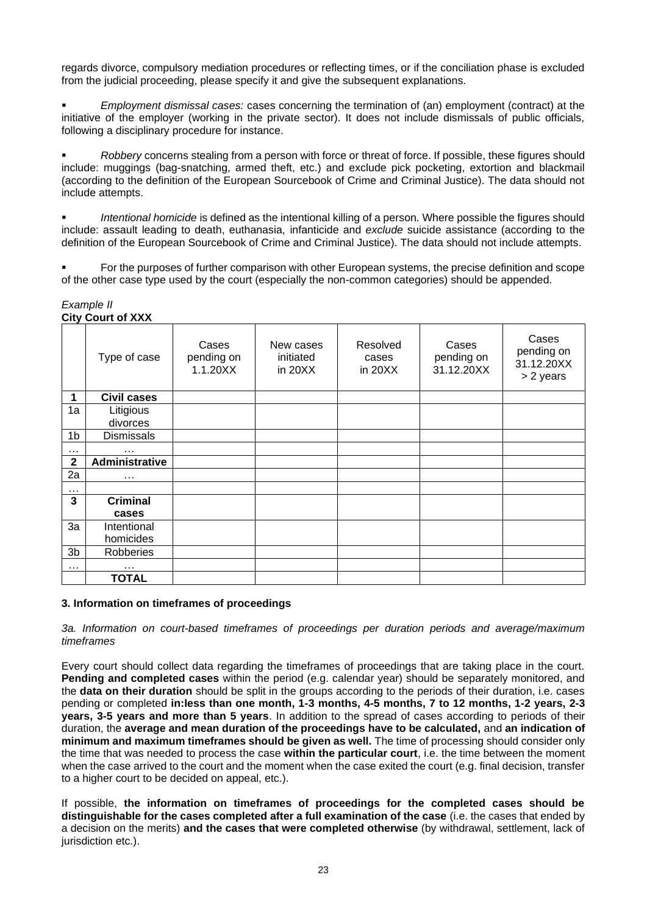regards divorce, compulsory mediation procedures or reflecting times, or if the conciliation phase is excluded from the judicial proceeding, please specify it and give the subsequent explanations.

▪ *Employment dismissal cases:* cases concerning the termination of (an) employment (contract) at the initiative of the employer (working in the private sector). It does not include dismissals of public officials, following a disciplinary procedure for instance.

▪ *Robbery* concerns stealing from a person with force or threat of force. If possible, these figures should include: muggings (bag-snatching, armed theft, etc.) and exclude pick pocketing, extortion and blackmail (according to the definition of the European Sourcebook of Crime and Criminal Justice). The data should not include attempts.

Intentional homicide is defined as the intentional killing of a person. Where possible the figures should include: assault leading to death, euthanasia, infanticide and *exclude* suicide assistance (according to the definition of the European Sourcebook of Crime and Criminal Justice). The data should not include attempts.

For the purposes of further comparison with other European systems, the precise definition and scope of the other case type used by the court (especially the non-common categories) should be appended.

#### *Example II* **City Court of XXX**

|              | YNY YYWN YN AVW    |                                 |                                     |                              |                                   |                                                |
|--------------|--------------------|---------------------------------|-------------------------------------|------------------------------|-----------------------------------|------------------------------------------------|
|              | Type of case       | Cases<br>pending on<br>1.1.20XX | New cases<br>initiated<br>in $20XX$ | Resolved<br>cases<br>in 20XX | Cases<br>pending on<br>31.12.20XX | Cases<br>pending on<br>31.12.20XX<br>> 2 years |
| 1            | <b>Civil cases</b> |                                 |                                     |                              |                                   |                                                |
| 1a           | Litigious          |                                 |                                     |                              |                                   |                                                |
|              | divorces           |                                 |                                     |                              |                                   |                                                |
| 1b           | <b>Dismissals</b>  |                                 |                                     |                              |                                   |                                                |
| $\cdots$     | .                  |                                 |                                     |                              |                                   |                                                |
| $\mathbf{2}$ | Administrative     |                                 |                                     |                              |                                   |                                                |
| 2a           | $\cdots$           |                                 |                                     |                              |                                   |                                                |
| $\cdots$     |                    |                                 |                                     |                              |                                   |                                                |
| 3            | Criminal           |                                 |                                     |                              |                                   |                                                |
|              | cases              |                                 |                                     |                              |                                   |                                                |
| 3a           | Intentional        |                                 |                                     |                              |                                   |                                                |
|              | homicides          |                                 |                                     |                              |                                   |                                                |
| 3b           | Robberies          |                                 |                                     |                              |                                   |                                                |
| $\cdots$     | $\cdots$           |                                 |                                     |                              |                                   |                                                |
|              | <b>TOTAL</b>       |                                 |                                     |                              |                                   |                                                |

## **3. Information on timeframes of proceedings**

*3a. Information on court-based timeframes of proceedings per duration periods and average/maximum timeframes*

Every court should collect data regarding the timeframes of proceedings that are taking place in the court. **Pending and completed cases** within the period (e.g. calendar year) should be separately monitored, and the **data on their duration** should be split in the groups according to the periods of their duration, i.e. cases pending or completed **in:less than one month, 1-3 months, 4-5 months, 7 to 12 months, 1-2 years, 2-3 years, 3-5 years and more than 5 years**. In addition to the spread of cases according to periods of their duration, the **average and mean duration of the proceedings have to be calculated,** and **an indication of minimum and maximum timeframes should be given as well.** The time of processing should consider only the time that was needed to process the case **within the particular court**, i.e. the time between the moment when the case arrived to the court and the moment when the case exited the court (e.g. final decision, transfer to a higher court to be decided on appeal, etc.).

If possible, **the information on timeframes of proceedings for the completed cases should be distinguishable for the cases completed after a full examination of the case** (i.e. the cases that ended by a decision on the merits) **and the cases that were completed otherwise** (by withdrawal, settlement, lack of jurisdiction etc.).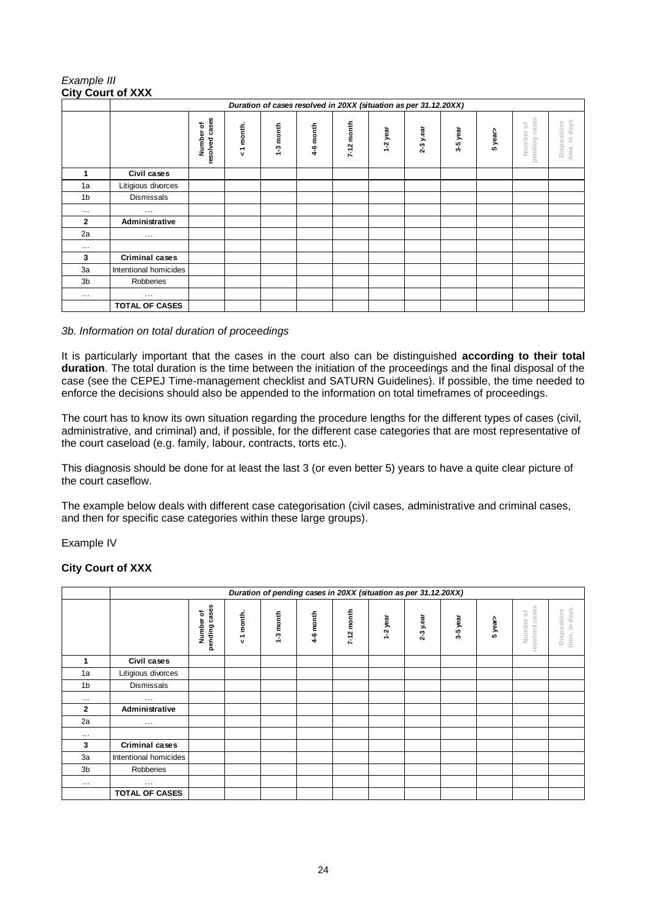## *Example III* **City Court of XXX**

|                | Duration of cases resolved in 20XX (situation as per 31.12.20XX) |                             |           |           |           |            |          |           |          |         |                              |                                 |
|----------------|------------------------------------------------------------------|-----------------------------|-----------|-----------|-----------|------------|----------|-----------|----------|---------|------------------------------|---------------------------------|
|                |                                                                  | resolved cases<br>Number of | <1 month. | 1-3 month | 4-6 month | 7-12 month | 1-2 year | 2-3 y.ear | 3-5 year | 5 year> | pending cases<br>ŏ<br>Number | in days<br>Disposition<br>time, |
| 1              | Civil cases                                                      |                             |           |           |           |            |          |           |          |         |                              |                                 |
| 1a             | Litigious divorces                                               |                             |           |           |           |            |          |           |          |         |                              |                                 |
| 1 <sub>b</sub> | Dismissals                                                       |                             |           |           |           |            |          |           |          |         |                              |                                 |
| $\cdots$       | $\cdots$                                                         |                             |           |           |           |            |          |           |          |         |                              |                                 |
| $\mathbf{2}$   | Administrative                                                   |                             |           |           |           |            |          |           |          |         |                              |                                 |
| 2a             | $\cdots$                                                         |                             |           |           |           |            |          |           |          |         |                              |                                 |
| $\cdots$       |                                                                  |                             |           |           |           |            |          |           |          |         |                              |                                 |
| 3              | <b>Criminal cases</b>                                            |                             |           |           |           |            |          |           |          |         |                              |                                 |
| 3a             | Intentional homicides                                            |                             |           |           |           |            |          |           |          |         |                              |                                 |
| 3b             | Robberies                                                        |                             |           |           |           |            |          |           |          |         |                              |                                 |
| $\cdots$       | $\cdots$                                                         |                             |           |           |           |            |          |           |          |         |                              |                                 |
|                | <b>TOTAL OF CASES</b>                                            |                             |           |           |           |            |          |           |          |         |                              |                                 |

## *3b. Information on total duration of proceedings*

It is particularly important that the cases in the court also can be distinguished **according to their total duration**. The total duration is the time between the initiation of the proceedings and the final disposal of the case (see the CEPEJ Time-management checklist and SATURN Guidelines). If possible, the time needed to enforce the decisions should also be appended to the information on total timeframes of proceedings.

The court has to know its own situation regarding the procedure lengths for the different types of cases (civil, administrative, and criminal) and, if possible, for the different case categories that are most representative of the court caseload (e.g. family, labour, contracts, torts etc.).

This diagnosis should be done for at least the last 3 (or even better 5) years to have a quite clear picture of the court caseflow.

The example below deals with different case categorisation (civil cases, administrative and criminal cases, and then for specific case categories within these large groups).

Example IV

## **City Court of XXX**

|                | Duration of pending cases in 20XX (situation as per 31.12.20XX) |                            |           |           |           |              |          |             |          |         |                             |                                 |
|----------------|-----------------------------------------------------------------|----------------------------|-----------|-----------|-----------|--------------|----------|-------------|----------|---------|-----------------------------|---------------------------------|
|                |                                                                 | pending cases<br>Number of | <1 month. | 1-3 month | 4-6 month | $7-12$ month | 1-2 year | $2-3y$ .ear | 3-5 year | 5 year> | resolved cases<br>Number of | days<br>Disposition<br>time, in |
| 1              | Civil cases                                                     |                            |           |           |           |              |          |             |          |         |                             |                                 |
| 1a             | Litigious divorces                                              |                            |           |           |           |              |          |             |          |         |                             |                                 |
| 1 <sub>b</sub> | <b>Dismissals</b>                                               |                            |           |           |           |              |          |             |          |         |                             |                                 |
| $\cdots$       | $\cdots$                                                        |                            |           |           |           |              |          |             |          |         |                             |                                 |
| $\overline{2}$ | Administrative                                                  |                            |           |           |           |              |          |             |          |         |                             |                                 |
| 2a             | $\cdots$                                                        |                            |           |           |           |              |          |             |          |         |                             |                                 |
| $\cdots$       |                                                                 |                            |           |           |           |              |          |             |          |         |                             |                                 |
| 3              | <b>Criminal cases</b>                                           |                            |           |           |           |              |          |             |          |         |                             |                                 |
| 3a             | Intentional homicides                                           |                            |           |           |           |              |          |             |          |         |                             |                                 |
| 3b             | Robberies                                                       |                            |           |           |           |              |          |             |          |         |                             |                                 |
| $\cdots$       | $\cdots$                                                        |                            |           |           |           |              |          |             |          |         |                             |                                 |
|                | <b>TOTAL OF CASES</b>                                           |                            |           |           |           |              |          |             |          |         |                             |                                 |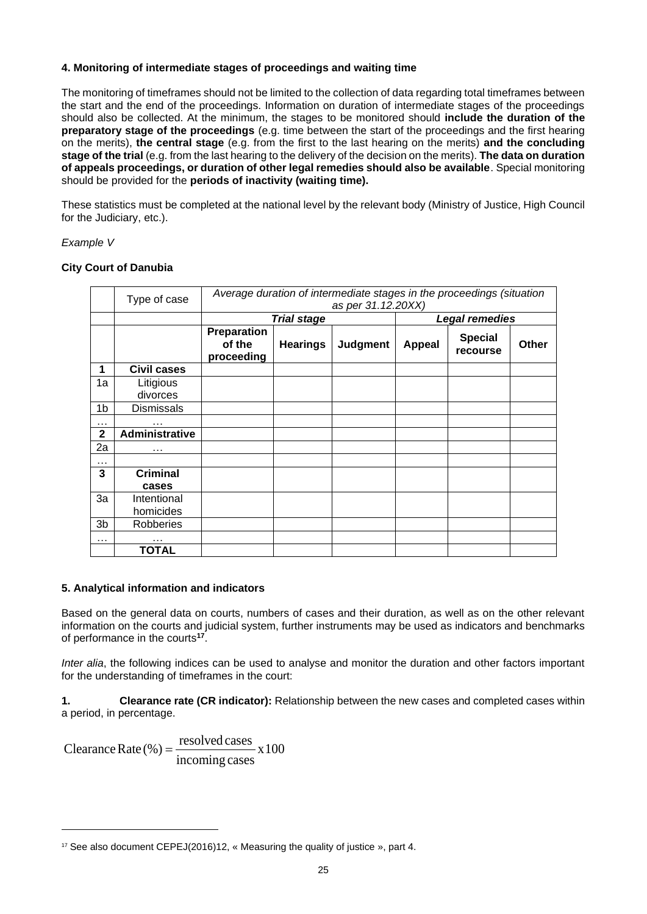### **4. Monitoring of intermediate stages of proceedings and waiting time**

The monitoring of timeframes should not be limited to the collection of data regarding total timeframes between the start and the end of the proceedings. Information on duration of intermediate stages of the proceedings should also be collected. At the minimum, the stages to be monitored should **include the duration of the preparatory stage of the proceedings** (e.g. time between the start of the proceedings and the first hearing on the merits), **the central stage** (e.g. from the first to the last hearing on the merits) **and the concluding stage of the trial** (e.g. from the last hearing to the delivery of the decision on the merits). **The data on duration of appeals proceedings, or duration of other legal remedies should also be available**. Special monitoring should be provided for the **periods of inactivity (waiting time).**

These statistics must be completed at the national level by the relevant body (Ministry of Justice, High Council for the Judiciary, etc.).

#### *Example V*

#### **City Court of Danubia**

|                | Type of case             | Average duration of intermediate stages in the proceedings (situation<br>as per 31.12.20XX) |                    |                 |               |                            |       |  |  |  |
|----------------|--------------------------|---------------------------------------------------------------------------------------------|--------------------|-----------------|---------------|----------------------------|-------|--|--|--|
|                |                          |                                                                                             | <b>Trial stage</b> |                 |               | <b>Legal remedies</b>      |       |  |  |  |
|                |                          | Preparation<br>of the<br>proceeding                                                         | <b>Hearings</b>    | <b>Judgment</b> | <b>Appeal</b> | <b>Special</b><br>recourse | Other |  |  |  |
| 1              | <b>Civil cases</b>       |                                                                                             |                    |                 |               |                            |       |  |  |  |
| 1a             | Litigious<br>divorces    |                                                                                             |                    |                 |               |                            |       |  |  |  |
| 1b             | <b>Dismissals</b>        |                                                                                             |                    |                 |               |                            |       |  |  |  |
| $\cdots$       | $\cdots$                 |                                                                                             |                    |                 |               |                            |       |  |  |  |
| $\mathbf{2}$   | Administrative           |                                                                                             |                    |                 |               |                            |       |  |  |  |
| 2a             | $\cdots$                 |                                                                                             |                    |                 |               |                            |       |  |  |  |
| $\cdots$       |                          |                                                                                             |                    |                 |               |                            |       |  |  |  |
| 3              | <b>Criminal</b><br>cases |                                                                                             |                    |                 |               |                            |       |  |  |  |
| 3a             | Intentional<br>homicides |                                                                                             |                    |                 |               |                            |       |  |  |  |
| 3 <sub>b</sub> | <b>Robberies</b>         |                                                                                             |                    |                 |               |                            |       |  |  |  |
| .              | $\cdots$                 |                                                                                             |                    |                 |               |                            |       |  |  |  |
|                | TOTAL                    |                                                                                             |                    |                 |               |                            |       |  |  |  |

#### **5. Analytical information and indicators**

Based on the general data on courts, numbers of cases and their duration, as well as on the other relevant information on the courts and judicial system, further instruments may be used as indicators and benchmarks of performance in the courts**<sup>17</sup>** .

*Inter alia*, the following indices can be used to analyse and monitor the duration and other factors important for the understanding of timeframes in the court:

**1. Clearance rate (CR indicator):** Relationship between the new cases and completed cases within a period, in percentage.

The period, in percentage.<br>Clearance Rate  $(\%) = \frac{\text{resolved cases}}{\text{incoming cases}} \times 100$ resolved cases<br>incoming cases =

<sup>17</sup> See also document CEPEJ(2016)12, « Measuring the quality of justice », part 4.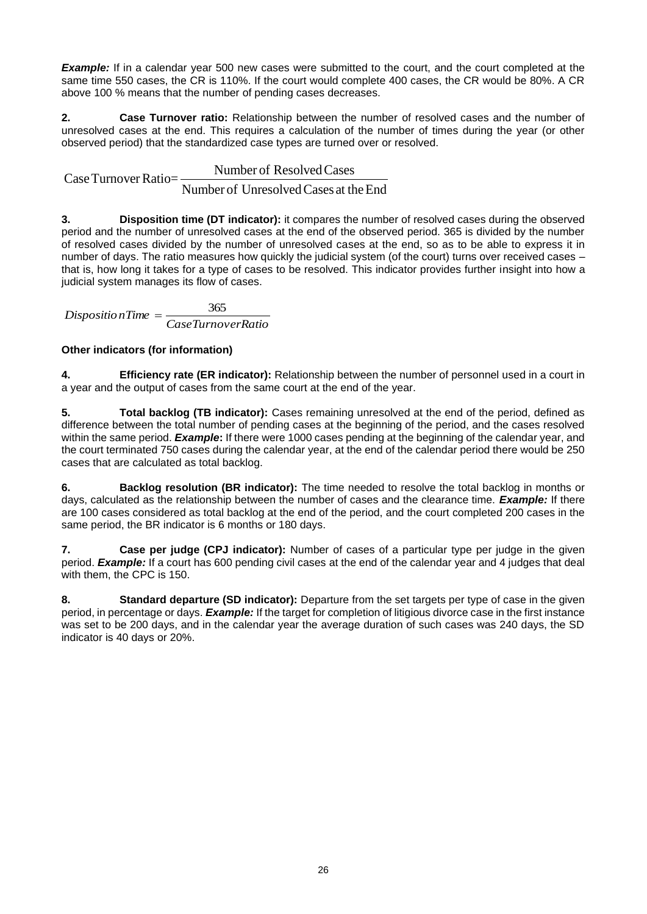**Example:** If in a calendar year 500 new cases were submitted to the court, and the court completed at the same time 550 cases, the CR is 110%. If the court would complete 400 cases, the CR would be 80%. A CR above 100 % means that the number of pending cases decreases.

**2. Case Turnover ratio:** Relationship between the number of resolved cases and the number of unresolved cases at the end. This requires a calculation of the number of times during the year (or other observed period) that the standardized case types are turned over or resolved.

Number of Resolved Cases at the end. This requires a calculation of<br>bbserved period) that the standardized case types are turned<br>Case Turnover Ratio=<br>Number of Unresolved Cases at the Number of Resolved Cases<br>Number of Unresolved Cases at the End

**3. Disposition time (DT indicator):** it compares the number of resolved cases during the observed period and the number of unresolved cases at the end of the observed period. 365 is divided by the number of resolved cases divided by the number of unresolved cases at the end, so as to be able to express it in number of days. The ratio measures how quickly the judicial system (of the court) turns over received cases – that is, how long it takes for a type of cases to be resolved. This indicator provides further insight into how a judicial system manages its flow of cases.

*CaseTurnoverRatio*  $DispositionTime = \frac{365}{365}$ 

## **Other indicators (for information)**

**4. Efficiency rate (ER indicator):** Relationship between the number of personnel used in a court in a year and the output of cases from the same court at the end of the year.

**5. Total backlog (TB indicator):** Cases remaining unresolved at the end of the period, defined as difference between the total number of pending cases at the beginning of the period, and the cases resolved within the same period. *Example***:** If there were 1000 cases pending at the beginning of the calendar year, and the court terminated 750 cases during the calendar year, at the end of the calendar period there would be 250 cases that are calculated as total backlog.

**6. Backlog resolution (BR indicator):** The time needed to resolve the total backlog in months or days, calculated as the relationship between the number of cases and the clearance time. *Example:* If there are 100 cases considered as total backlog at the end of the period, and the court completed 200 cases in the same period, the BR indicator is 6 months or 180 days.

**7. Case per judge (CPJ indicator):** Number of cases of a particular type per judge in the given period. *Example:* If a court has 600 pending civil cases at the end of the calendar year and 4 judges that deal with them, the CPC is 150.

**8. Standard departure (SD indicator):** Departure from the set targets per type of case in the given period, in percentage or days. *Example:* If the target for completion of litigious divorce case in the first instance was set to be 200 days, and in the calendar year the average duration of such cases was 240 days, the SD indicator is 40 days or 20%.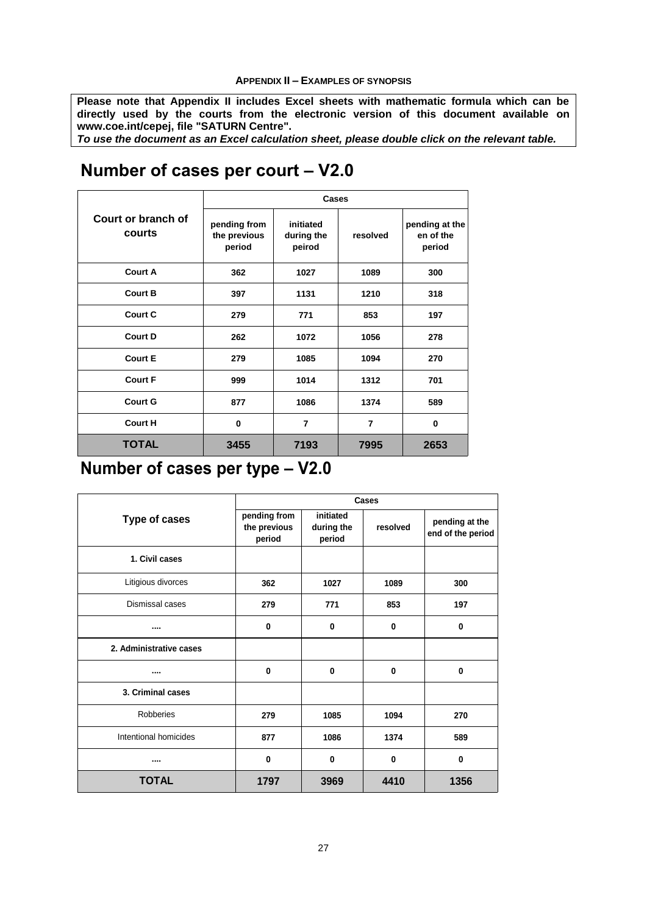#### **APPENDIX II – EXAMPLES OF SYNOPSIS**

<span id="page-26-0"></span>**Please note that Appendix II includes Excel sheets with mathematic formula which can be directly used by the courts from the electronic version of this document available on www.coe.int/cepej, file "SATURN Centre".** 

*To use the document as an Excel calculation sheet, please double click on the relevant table.*

#### **pending from the previous period initiated during the peirod resolved pending at the en of the period 362 1027 1089 300 397 1131 1210 318 279 771 853 197 262 1072 1056 278 279 1085 1094 270 999 1014 1312 701 877 1086 1374 589 0 7 7 0 3455 7193 7995 2653 Court F Court G Court H TOTAL Court B Court C Court D Court E Court or branch of courts Cases Court A**

# **Number of cases per court – V2.0**

# **Number of cases per type – V2.0**

|                         |                                        |                                   | Cases        |                                     |
|-------------------------|----------------------------------------|-----------------------------------|--------------|-------------------------------------|
| <b>Type of cases</b>    | pending from<br>the previous<br>period | initiated<br>during the<br>period | resolved     | pending at the<br>end of the period |
| 1. Civil cases          |                                        |                                   |              |                                     |
| Litigious divorces      | 362                                    | 1027                              | 1089         | 300                                 |
| Dismissal cases         | 279                                    | 771                               | 853          | 197                                 |
|                         | $\bf{0}$                               | $\bf{0}$                          | 0            | 0                                   |
| 2. Administrative cases |                                        |                                   |              |                                     |
|                         | $\bf{0}$                               | $\bf{0}$                          | 0            | $\bf{0}$                            |
| 3. Criminal cases       |                                        |                                   |              |                                     |
| <b>Robberies</b>        | 279                                    | 1085                              | 1094         | 270                                 |
| Intentional homicides   | 877                                    | 1086                              | 1374         | 589                                 |
|                         | $\bf{0}$                               | $\bf{0}$                          | $\mathbf{0}$ | $\bf{0}$                            |
| <b>TOTAL</b>            | 1797                                   | 3969                              | 4410         | 1356                                |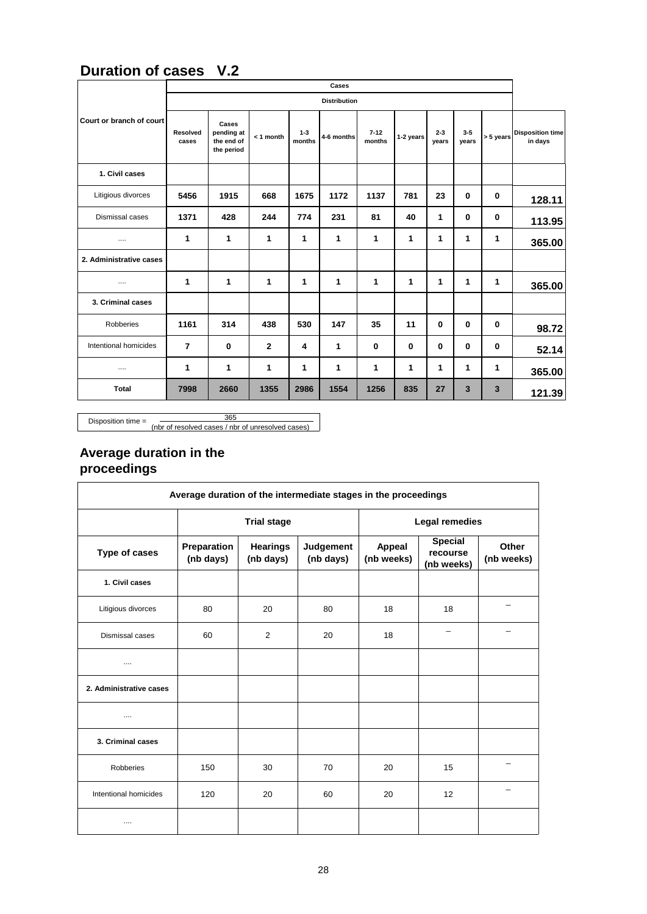## **Duration of cases V.2**

|                          |                   |                                                 |              |                   | Cases               |                    |           |                  |                |           |                                    |
|--------------------------|-------------------|-------------------------------------------------|--------------|-------------------|---------------------|--------------------|-----------|------------------|----------------|-----------|------------------------------------|
|                          |                   |                                                 |              |                   | <b>Distribution</b> |                    |           |                  |                |           |                                    |
| Court or branch of court | Resolved<br>cases | Cases<br>pending at<br>the end of<br>the period | $< 1$ month  | $1 - 3$<br>months | 4-6 months          | $7 - 12$<br>months | 1-2 years | $2 - 3$<br>years | $3-5$<br>years | > 5 years | <b>Disposition time</b><br>in days |
| 1. Civil cases           |                   |                                                 |              |                   |                     |                    |           |                  |                |           |                                    |
| Litigious divorces       | 5456              | 1915                                            | 668          | 1675              | 1172                | 1137               | 781       | 23               | $\mathbf 0$    | 0         | 128.11                             |
| Dismissal cases          | 1371              | 428                                             | 244          | 774               | 231                 | 81                 | 40        | 1                | 0              | 0         | 113.95                             |
|                          | 1                 | 1                                               | 1            | 1                 | 1                   | 1                  | 1         | 1                | 1              | 1         | 365.00                             |
| 2. Administrative cases  |                   |                                                 |              |                   |                     |                    |           |                  |                |           |                                    |
|                          | 1                 | 1                                               | 1            | 1                 | 1                   | 1                  | 1         | 1                | 1              | 1         | 365.00                             |
| 3. Criminal cases        |                   |                                                 |              |                   |                     |                    |           |                  |                |           |                                    |
| Robberies                | 1161              | 314                                             | 438          | 530               | 147                 | 35                 | 11        | 0                | 0              | 0         | 98.72                              |
| Intentional homicides    | $\overline{7}$    | 0                                               | $\mathbf{2}$ | 4                 | 1                   | 0                  | $\bf{0}$  | $\mathbf 0$      | 0              | 0         | 52.14                              |
|                          | 1                 | 1                                               | 1            | 1                 | 1                   | 1                  | 1         | 1                | 1              | 1         | 365.00                             |
| <b>Total</b>             | 7998              | 2660                                            | 1355         | 2986              | 1554                | 1256               | 835       | 27               | 3              | 3         | 121.39                             |

Disposition time =  $\frac{365}{\text{(nbr of resolved cases)}/\text{nbr of unresolved cases}}$ 

## **Average duration in the proceedings**

| Average duration of the intermediate stages in the proceedings |                          |                              |                        |                      |                                          |                     |  |  |  |  |  |  |
|----------------------------------------------------------------|--------------------------|------------------------------|------------------------|----------------------|------------------------------------------|---------------------|--|--|--|--|--|--|
|                                                                |                          | <b>Trial stage</b>           |                        | Legal remedies       |                                          |                     |  |  |  |  |  |  |
| Type of cases                                                  | Preparation<br>(nb days) | <b>Hearings</b><br>(nb days) | Judgement<br>(nb days) | Appeal<br>(nb weeks) | <b>Special</b><br>recourse<br>(nb weeks) | Other<br>(nb weeks) |  |  |  |  |  |  |
| 1. Civil cases                                                 |                          |                              |                        |                      |                                          |                     |  |  |  |  |  |  |
| Litigious divorces                                             | 80                       | 20                           | 80                     | 18                   | 18                                       |                     |  |  |  |  |  |  |
| Dismissal cases                                                | 60                       | 2                            | 20                     | 18                   |                                          |                     |  |  |  |  |  |  |
|                                                                |                          |                              |                        |                      |                                          |                     |  |  |  |  |  |  |
| 2. Administrative cases                                        |                          |                              |                        |                      |                                          |                     |  |  |  |  |  |  |
|                                                                |                          |                              |                        |                      |                                          |                     |  |  |  |  |  |  |
| 3. Criminal cases                                              |                          |                              |                        |                      |                                          |                     |  |  |  |  |  |  |
| <b>Robberies</b>                                               | 150                      | 30                           | 70                     | 20                   | 15                                       |                     |  |  |  |  |  |  |
| Intentional homicides                                          | 120                      | 20                           | 60                     | 20                   | 12                                       |                     |  |  |  |  |  |  |
|                                                                |                          |                              |                        |                      |                                          |                     |  |  |  |  |  |  |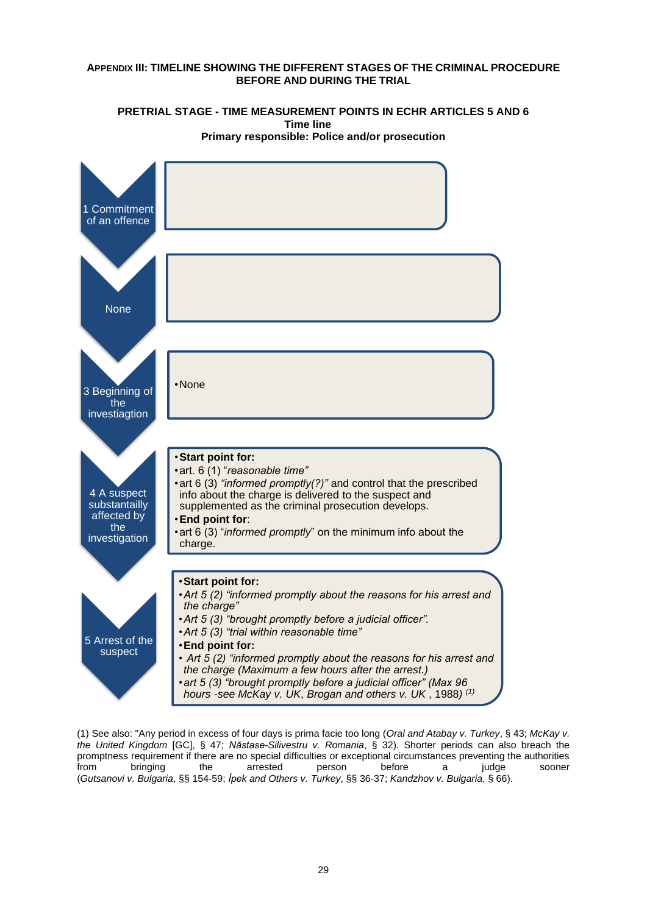#### <span id="page-28-0"></span>**APPENDIX III: TIMELINE SHOWING THE DIFFERENT STAGES OF THE CRIMINAL PROCEDURE BEFORE AND DURING THE TRIAL**



**PRETRIAL STAGE - TIME MEASUREMENT POINTS IN ECHR ARTICLES 5 AND 6 Time line Primary responsible: Police and/or prosecution**

(1) See also: "Any period in excess of four days is prima facie too long (*Oral and Atabay v. Turkey*, § 43; *McKay v. the United Kingdom* [GC], § 47; *Năstase-Silivestru v. Romania*, § 32). Shorter periods can also breach the promptness requirement if there are no special difficulties or exceptional circumstances preventing the authorities from bringing the arrested person before a judge sooner (*Gutsanovi v. Bulgaria*, §§ 154-59; *İpek and Others v. Turkey*, §§ 36-37; *Kandzhov v. Bulgaria*, § 66).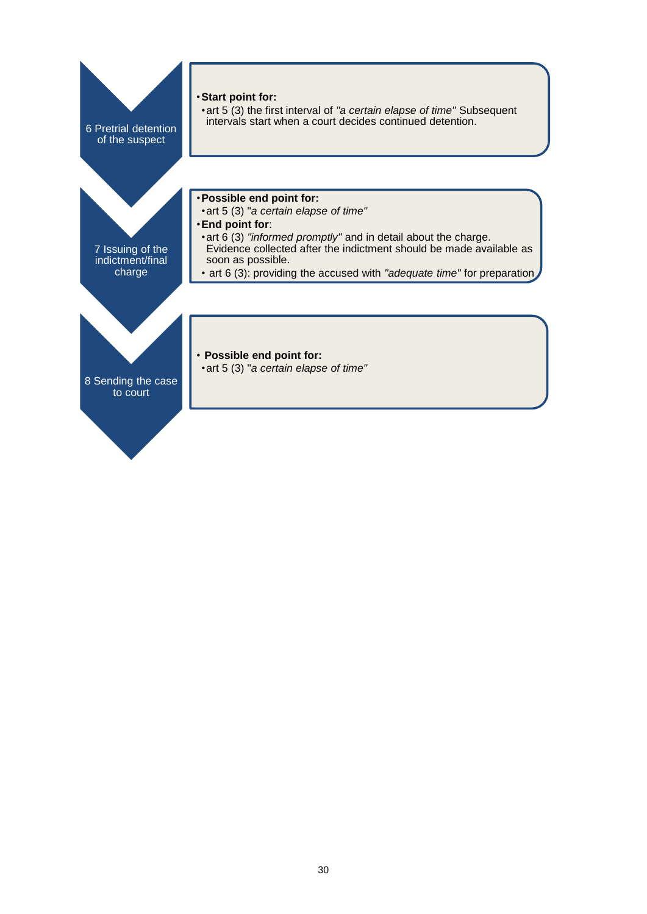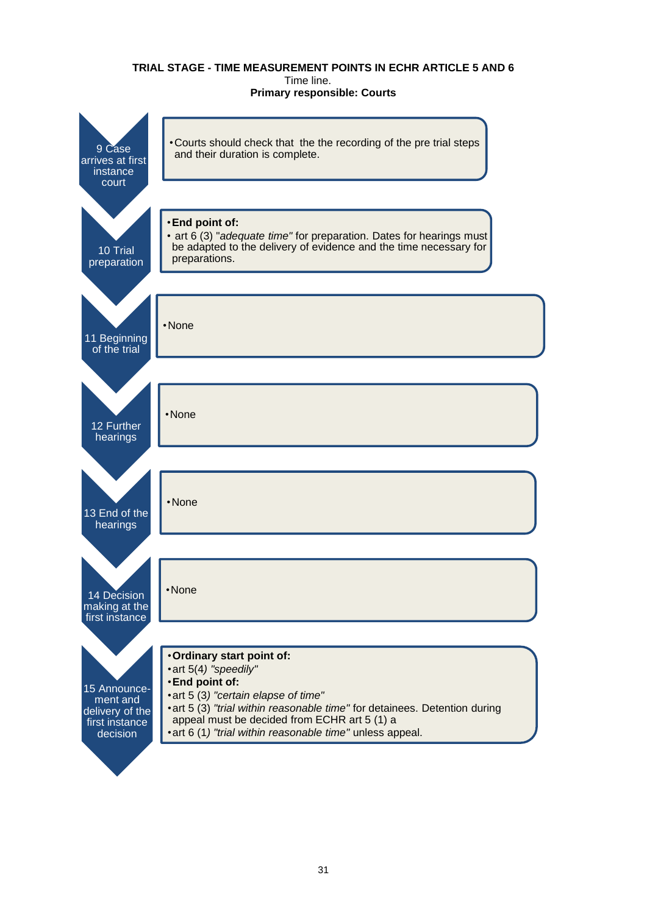#### **TRIAL STAGE - TIME MEASUREMENT POINTS IN ECHR ARTICLE 5 AND 6** Time line. **Primary responsible: Courts**